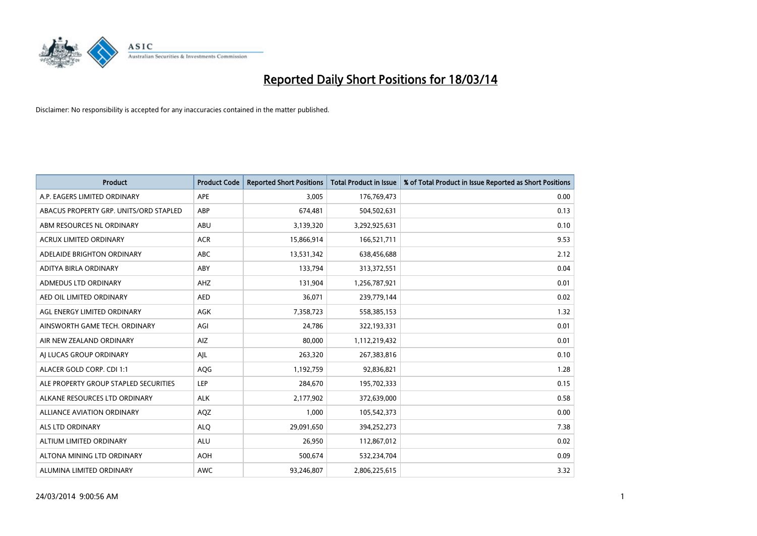

| <b>Product</b>                         | <b>Product Code</b> | <b>Reported Short Positions</b> | <b>Total Product in Issue</b> | % of Total Product in Issue Reported as Short Positions |
|----------------------------------------|---------------------|---------------------------------|-------------------------------|---------------------------------------------------------|
| A.P. EAGERS LIMITED ORDINARY           | APE                 | 3,005                           | 176,769,473                   | 0.00                                                    |
| ABACUS PROPERTY GRP. UNITS/ORD STAPLED | ABP                 | 674,481                         | 504,502,631                   | 0.13                                                    |
| ABM RESOURCES NL ORDINARY              | ABU                 | 3,139,320                       | 3,292,925,631                 | 0.10                                                    |
| ACRUX LIMITED ORDINARY                 | <b>ACR</b>          | 15,866,914                      | 166,521,711                   | 9.53                                                    |
| ADELAIDE BRIGHTON ORDINARY             | <b>ABC</b>          | 13,531,342                      | 638,456,688                   | 2.12                                                    |
| ADITYA BIRLA ORDINARY                  | ABY                 | 133,794                         | 313,372,551                   | 0.04                                                    |
| <b>ADMEDUS LTD ORDINARY</b>            | AHZ                 | 131,904                         | 1,256,787,921                 | 0.01                                                    |
| AED OIL LIMITED ORDINARY               | <b>AED</b>          | 36,071                          | 239,779,144                   | 0.02                                                    |
| AGL ENERGY LIMITED ORDINARY            | AGK                 | 7,358,723                       | 558,385,153                   | 1.32                                                    |
| AINSWORTH GAME TECH. ORDINARY          | AGI                 | 24,786                          | 322,193,331                   | 0.01                                                    |
| AIR NEW ZEALAND ORDINARY               | AIZ                 | 80,000                          | 1,112,219,432                 | 0.01                                                    |
| AI LUCAS GROUP ORDINARY                | AJL                 | 263,320                         | 267,383,816                   | 0.10                                                    |
| ALACER GOLD CORP. CDI 1:1              | AQG                 | 1,192,759                       | 92,836,821                    | 1.28                                                    |
| ALE PROPERTY GROUP STAPLED SECURITIES  | LEP                 | 284,670                         | 195,702,333                   | 0.15                                                    |
| ALKANE RESOURCES LTD ORDINARY          | <b>ALK</b>          | 2,177,902                       | 372,639,000                   | 0.58                                                    |
| ALLIANCE AVIATION ORDINARY             | AQZ                 | 1,000                           | 105,542,373                   | 0.00                                                    |
| <b>ALS LTD ORDINARY</b>                | <b>ALO</b>          | 29,091,650                      | 394,252,273                   | 7.38                                                    |
| ALTIUM LIMITED ORDINARY                | <b>ALU</b>          | 26,950                          | 112,867,012                   | 0.02                                                    |
| ALTONA MINING LTD ORDINARY             | <b>AOH</b>          | 500,674                         | 532,234,704                   | 0.09                                                    |
| ALUMINA LIMITED ORDINARY               | <b>AWC</b>          | 93,246,807                      | 2,806,225,615                 | 3.32                                                    |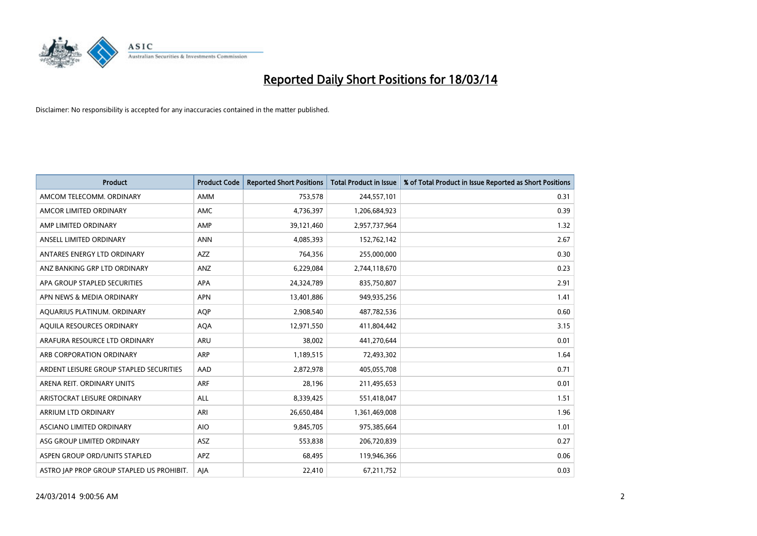

| <b>Product</b>                            | <b>Product Code</b> | <b>Reported Short Positions</b> | <b>Total Product in Issue</b> | % of Total Product in Issue Reported as Short Positions |
|-------------------------------------------|---------------------|---------------------------------|-------------------------------|---------------------------------------------------------|
| AMCOM TELECOMM, ORDINARY                  | <b>AMM</b>          | 753,578                         | 244,557,101                   | 0.31                                                    |
| AMCOR LIMITED ORDINARY                    | <b>AMC</b>          | 4,736,397                       | 1,206,684,923                 | 0.39                                                    |
| AMP LIMITED ORDINARY                      | AMP                 | 39,121,460                      | 2,957,737,964                 | 1.32                                                    |
| ANSELL LIMITED ORDINARY                   | <b>ANN</b>          | 4,085,393                       | 152,762,142                   | 2.67                                                    |
| ANTARES ENERGY LTD ORDINARY               | <b>AZZ</b>          | 764,356                         | 255,000,000                   | 0.30                                                    |
| ANZ BANKING GRP LTD ORDINARY              | ANZ                 | 6,229,084                       | 2,744,118,670                 | 0.23                                                    |
| APA GROUP STAPLED SECURITIES              | <b>APA</b>          | 24,324,789                      | 835,750,807                   | 2.91                                                    |
| APN NEWS & MEDIA ORDINARY                 | <b>APN</b>          | 13,401,886                      | 949,935,256                   | 1.41                                                    |
| AQUARIUS PLATINUM. ORDINARY               | <b>AOP</b>          | 2,908,540                       | 487,782,536                   | 0.60                                                    |
| AQUILA RESOURCES ORDINARY                 | <b>AQA</b>          | 12,971,550                      | 411,804,442                   | 3.15                                                    |
| ARAFURA RESOURCE LTD ORDINARY             | <b>ARU</b>          | 38,002                          | 441,270,644                   | 0.01                                                    |
| ARB CORPORATION ORDINARY                  | <b>ARP</b>          | 1,189,515                       | 72,493,302                    | 1.64                                                    |
| ARDENT LEISURE GROUP STAPLED SECURITIES   | AAD                 | 2,872,978                       | 405,055,708                   | 0.71                                                    |
| ARENA REIT. ORDINARY UNITS                | <b>ARF</b>          | 28,196                          | 211,495,653                   | 0.01                                                    |
| ARISTOCRAT LEISURE ORDINARY               | <b>ALL</b>          | 8,339,425                       | 551,418,047                   | 1.51                                                    |
| ARRIUM LTD ORDINARY                       | ARI                 | 26,650,484                      | 1,361,469,008                 | 1.96                                                    |
| ASCIANO LIMITED ORDINARY                  | <b>AIO</b>          | 9,845,705                       | 975,385,664                   | 1.01                                                    |
| ASG GROUP LIMITED ORDINARY                | <b>ASZ</b>          | 553,838                         | 206,720,839                   | 0.27                                                    |
| ASPEN GROUP ORD/UNITS STAPLED             | <b>APZ</b>          | 68,495                          | 119,946,366                   | 0.06                                                    |
| ASTRO JAP PROP GROUP STAPLED US PROHIBIT. | AJA                 | 22,410                          | 67,211,752                    | 0.03                                                    |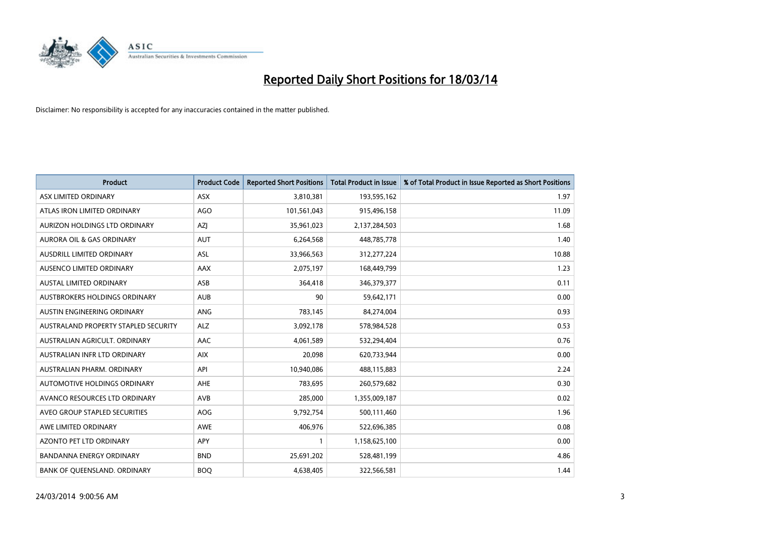

| <b>Product</b>                       | <b>Product Code</b> | <b>Reported Short Positions</b> | <b>Total Product in Issue</b> | % of Total Product in Issue Reported as Short Positions |
|--------------------------------------|---------------------|---------------------------------|-------------------------------|---------------------------------------------------------|
| ASX LIMITED ORDINARY                 | <b>ASX</b>          | 3,810,381                       | 193,595,162                   | 1.97                                                    |
| ATLAS IRON LIMITED ORDINARY          | AGO                 | 101,561,043                     | 915,496,158                   | 11.09                                                   |
| <b>AURIZON HOLDINGS LTD ORDINARY</b> | <b>AZI</b>          | 35,961,023                      | 2,137,284,503                 | 1.68                                                    |
| <b>AURORA OIL &amp; GAS ORDINARY</b> | <b>AUT</b>          | 6,264,568                       | 448,785,778                   | 1.40                                                    |
| AUSDRILL LIMITED ORDINARY            | ASL                 | 33,966,563                      | 312,277,224                   | 10.88                                                   |
| AUSENCO LIMITED ORDINARY             | <b>AAX</b>          | 2,075,197                       | 168,449,799                   | 1.23                                                    |
| AUSTAL LIMITED ORDINARY              | ASB                 | 364,418                         | 346,379,377                   | 0.11                                                    |
| <b>AUSTBROKERS HOLDINGS ORDINARY</b> | <b>AUB</b>          | 90                              | 59,642,171                    | 0.00                                                    |
| AUSTIN ENGINEERING ORDINARY          | <b>ANG</b>          | 783,145                         | 84,274,004                    | 0.93                                                    |
| AUSTRALAND PROPERTY STAPLED SECURITY | <b>ALZ</b>          | 3,092,178                       | 578,984,528                   | 0.53                                                    |
| AUSTRALIAN AGRICULT. ORDINARY        | AAC                 | 4,061,589                       | 532,294,404                   | 0.76                                                    |
| AUSTRALIAN INFR LTD ORDINARY         | <b>AIX</b>          | 20,098                          | 620,733,944                   | 0.00                                                    |
| AUSTRALIAN PHARM. ORDINARY           | API                 | 10,940,086                      | 488,115,883                   | 2.24                                                    |
| AUTOMOTIVE HOLDINGS ORDINARY         | AHE                 | 783,695                         | 260,579,682                   | 0.30                                                    |
| AVANCO RESOURCES LTD ORDINARY        | <b>AVB</b>          | 285,000                         | 1,355,009,187                 | 0.02                                                    |
| AVEO GROUP STAPLED SECURITIES        | <b>AOG</b>          | 9,792,754                       | 500,111,460                   | 1.96                                                    |
| AWE LIMITED ORDINARY                 | AWE                 | 406,976                         | 522,696,385                   | 0.08                                                    |
| AZONTO PET LTD ORDINARY              | <b>APY</b>          |                                 | 1,158,625,100                 | 0.00                                                    |
| <b>BANDANNA ENERGY ORDINARY</b>      | <b>BND</b>          | 25,691,202                      | 528,481,199                   | 4.86                                                    |
| BANK OF QUEENSLAND. ORDINARY         | <b>BOQ</b>          | 4,638,405                       | 322,566,581                   | 1.44                                                    |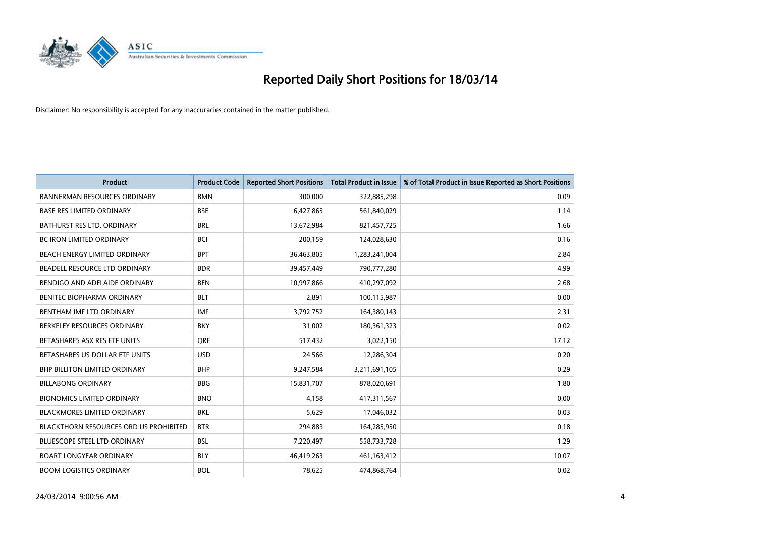

| <b>Product</b>                                | <b>Product Code</b> | <b>Reported Short Positions</b> | <b>Total Product in Issue</b> | % of Total Product in Issue Reported as Short Positions |
|-----------------------------------------------|---------------------|---------------------------------|-------------------------------|---------------------------------------------------------|
| <b>BANNERMAN RESOURCES ORDINARY</b>           | <b>BMN</b>          | 300,000                         | 322,885,298                   | 0.09                                                    |
| <b>BASE RES LIMITED ORDINARY</b>              | <b>BSE</b>          | 6,427,865                       | 561,840,029                   | 1.14                                                    |
| <b>BATHURST RES LTD. ORDINARY</b>             | <b>BRL</b>          | 13,672,984                      | 821,457,725                   | 1.66                                                    |
| BC IRON LIMITED ORDINARY                      | <b>BCI</b>          | 200,159                         | 124,028,630                   | 0.16                                                    |
| BEACH ENERGY LIMITED ORDINARY                 | <b>BPT</b>          | 36,463,805                      | 1,283,241,004                 | 2.84                                                    |
| BEADELL RESOURCE LTD ORDINARY                 | <b>BDR</b>          | 39,457,449                      | 790,777,280                   | 4.99                                                    |
| BENDIGO AND ADELAIDE ORDINARY                 | <b>BEN</b>          | 10,997,866                      | 410,297,092                   | 2.68                                                    |
| <b>BENITEC BIOPHARMA ORDINARY</b>             | <b>BLT</b>          | 2,891                           | 100,115,987                   | 0.00                                                    |
| BENTHAM IMF LTD ORDINARY                      | <b>IMF</b>          | 3,792,752                       | 164,380,143                   | 2.31                                                    |
| BERKELEY RESOURCES ORDINARY                   | <b>BKY</b>          | 31,002                          | 180,361,323                   | 0.02                                                    |
| BETASHARES ASX RES ETF UNITS                  | <b>ORE</b>          | 517,432                         | 3,022,150                     | 17.12                                                   |
| BETASHARES US DOLLAR ETF UNITS                | <b>USD</b>          | 24,566                          | 12,286,304                    | 0.20                                                    |
| BHP BILLITON LIMITED ORDINARY                 | <b>BHP</b>          | 9,247,584                       | 3,211,691,105                 | 0.29                                                    |
| <b>BILLABONG ORDINARY</b>                     | <b>BBG</b>          | 15,831,707                      | 878,020,691                   | 1.80                                                    |
| <b>BIONOMICS LIMITED ORDINARY</b>             | <b>BNO</b>          | 4,158                           | 417,311,567                   | 0.00                                                    |
| BLACKMORES LIMITED ORDINARY                   | <b>BKL</b>          | 5,629                           | 17,046,032                    | 0.03                                                    |
| <b>BLACKTHORN RESOURCES ORD US PROHIBITED</b> | <b>BTR</b>          | 294,883                         | 164,285,950                   | 0.18                                                    |
| BLUESCOPE STEEL LTD ORDINARY                  | <b>BSL</b>          | 7,220,497                       | 558,733,728                   | 1.29                                                    |
| <b>BOART LONGYEAR ORDINARY</b>                | <b>BLY</b>          | 46,419,263                      | 461,163,412                   | 10.07                                                   |
| <b>BOOM LOGISTICS ORDINARY</b>                | <b>BOL</b>          | 78.625                          | 474.868.764                   | 0.02                                                    |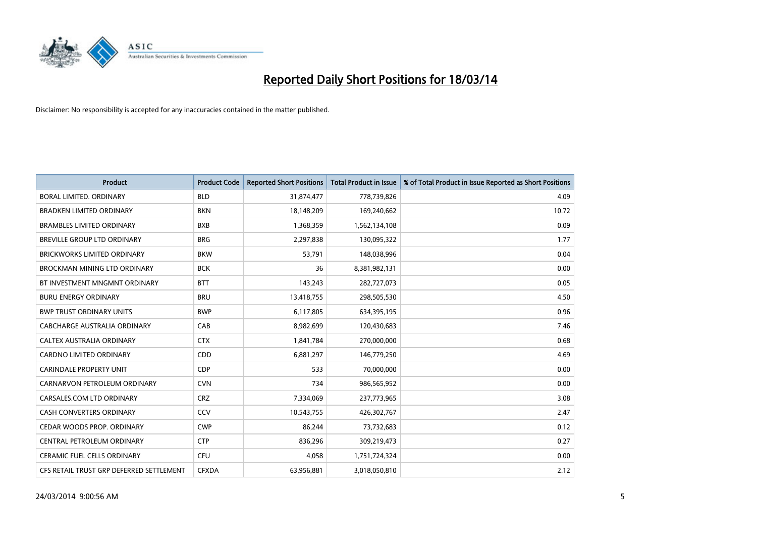

| <b>Product</b>                           | <b>Product Code</b> | <b>Reported Short Positions</b> | <b>Total Product in Issue</b> | % of Total Product in Issue Reported as Short Positions |
|------------------------------------------|---------------------|---------------------------------|-------------------------------|---------------------------------------------------------|
| <b>BORAL LIMITED, ORDINARY</b>           | <b>BLD</b>          | 31,874,477                      | 778,739,826                   | 4.09                                                    |
| <b>BRADKEN LIMITED ORDINARY</b>          | <b>BKN</b>          | 18,148,209                      | 169,240,662                   | 10.72                                                   |
| <b>BRAMBLES LIMITED ORDINARY</b>         | <b>BXB</b>          | 1,368,359                       | 1,562,134,108                 | 0.09                                                    |
| BREVILLE GROUP LTD ORDINARY              | <b>BRG</b>          | 2,297,838                       | 130,095,322                   | 1.77                                                    |
| <b>BRICKWORKS LIMITED ORDINARY</b>       | <b>BKW</b>          | 53,791                          | 148,038,996                   | 0.04                                                    |
| <b>BROCKMAN MINING LTD ORDINARY</b>      | <b>BCK</b>          | 36                              | 8,381,982,131                 | 0.00                                                    |
| BT INVESTMENT MNGMNT ORDINARY            | <b>BTT</b>          | 143,243                         | 282,727,073                   | 0.05                                                    |
| <b>BURU ENERGY ORDINARY</b>              | <b>BRU</b>          | 13,418,755                      | 298,505,530                   | 4.50                                                    |
| <b>BWP TRUST ORDINARY UNITS</b>          | <b>BWP</b>          | 6,117,805                       | 634,395,195                   | 0.96                                                    |
| CABCHARGE AUSTRALIA ORDINARY             | CAB                 | 8,982,699                       | 120,430,683                   | 7.46                                                    |
| <b>CALTEX AUSTRALIA ORDINARY</b>         | <b>CTX</b>          | 1,841,784                       | 270,000,000                   | 0.68                                                    |
| <b>CARDNO LIMITED ORDINARY</b>           | CDD                 | 6,881,297                       | 146,779,250                   | 4.69                                                    |
| <b>CARINDALE PROPERTY UNIT</b>           | <b>CDP</b>          | 533                             | 70,000,000                    | 0.00                                                    |
| CARNARVON PETROLEUM ORDINARY             | <b>CVN</b>          | 734                             | 986,565,952                   | 0.00                                                    |
| CARSALES.COM LTD ORDINARY                | <b>CRZ</b>          | 7,334,069                       | 237,773,965                   | 3.08                                                    |
| CASH CONVERTERS ORDINARY                 | CCV                 | 10,543,755                      | 426,302,767                   | 2.47                                                    |
| CEDAR WOODS PROP. ORDINARY               | <b>CWP</b>          | 86,244                          | 73,732,683                    | 0.12                                                    |
| CENTRAL PETROLEUM ORDINARY               | <b>CTP</b>          | 836,296                         | 309,219,473                   | 0.27                                                    |
| <b>CERAMIC FUEL CELLS ORDINARY</b>       | <b>CFU</b>          | 4,058                           | 1,751,724,324                 | 0.00                                                    |
| CFS RETAIL TRUST GRP DEFERRED SETTLEMENT | <b>CFXDA</b>        | 63,956,881                      | 3,018,050,810                 | 2.12                                                    |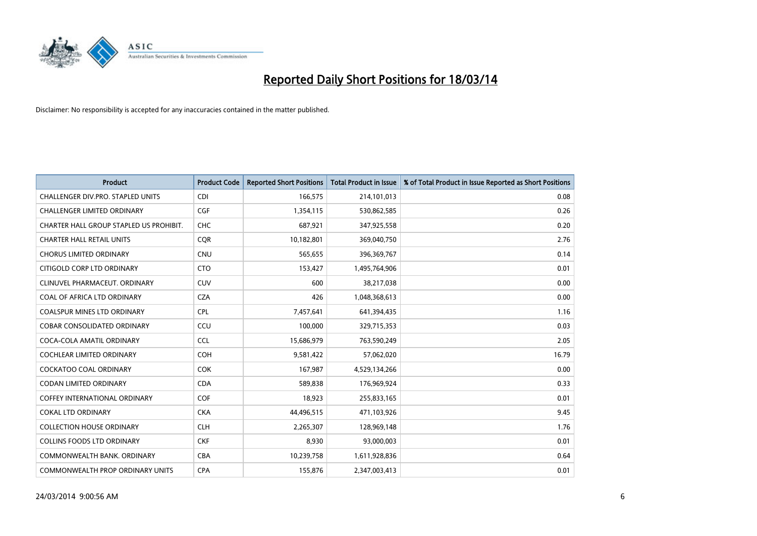

| <b>Product</b>                          | <b>Product Code</b> | <b>Reported Short Positions</b> | <b>Total Product in Issue</b> | % of Total Product in Issue Reported as Short Positions |
|-----------------------------------------|---------------------|---------------------------------|-------------------------------|---------------------------------------------------------|
| CHALLENGER DIV.PRO. STAPLED UNITS       | <b>CDI</b>          | 166,575                         | 214,101,013                   | 0.08                                                    |
| <b>CHALLENGER LIMITED ORDINARY</b>      | <b>CGF</b>          | 1,354,115                       | 530,862,585                   | 0.26                                                    |
| CHARTER HALL GROUP STAPLED US PROHIBIT. | <b>CHC</b>          | 687,921                         | 347,925,558                   | 0.20                                                    |
| <b>CHARTER HALL RETAIL UNITS</b>        | <b>COR</b>          | 10,182,801                      | 369,040,750                   | 2.76                                                    |
| <b>CHORUS LIMITED ORDINARY</b>          | <b>CNU</b>          | 565,655                         | 396,369,767                   | 0.14                                                    |
| CITIGOLD CORP LTD ORDINARY              | <b>CTO</b>          | 153,427                         | 1,495,764,906                 | 0.01                                                    |
| CLINUVEL PHARMACEUT, ORDINARY           | <b>CUV</b>          | 600                             | 38,217,038                    | 0.00                                                    |
| COAL OF AFRICA LTD ORDINARY             | <b>CZA</b>          | 426                             | 1,048,368,613                 | 0.00                                                    |
| COALSPUR MINES LTD ORDINARY             | <b>CPL</b>          | 7,457,641                       | 641,394,435                   | 1.16                                                    |
| <b>COBAR CONSOLIDATED ORDINARY</b>      | CCU                 | 100.000                         | 329,715,353                   | 0.03                                                    |
| COCA-COLA AMATIL ORDINARY               | <b>CCL</b>          | 15,686,979                      | 763,590,249                   | 2.05                                                    |
| <b>COCHLEAR LIMITED ORDINARY</b>        | <b>COH</b>          | 9,581,422                       | 57,062,020                    | 16.79                                                   |
| <b>COCKATOO COAL ORDINARY</b>           | COK                 | 167,987                         | 4,529,134,266                 | 0.00                                                    |
| <b>CODAN LIMITED ORDINARY</b>           | <b>CDA</b>          | 589.838                         | 176,969,924                   | 0.33                                                    |
| <b>COFFEY INTERNATIONAL ORDINARY</b>    | <b>COF</b>          | 18,923                          | 255,833,165                   | 0.01                                                    |
| <b>COKAL LTD ORDINARY</b>               | <b>CKA</b>          | 44,496,515                      | 471,103,926                   | 9.45                                                    |
| <b>COLLECTION HOUSE ORDINARY</b>        | <b>CLH</b>          | 2,265,307                       | 128,969,148                   | 1.76                                                    |
| <b>COLLINS FOODS LTD ORDINARY</b>       | <b>CKF</b>          | 8,930                           | 93,000,003                    | 0.01                                                    |
| COMMONWEALTH BANK, ORDINARY             | <b>CBA</b>          | 10,239,758                      | 1,611,928,836                 | 0.64                                                    |
| COMMONWEALTH PROP ORDINARY UNITS        | <b>CPA</b>          | 155,876                         | 2,347,003,413                 | 0.01                                                    |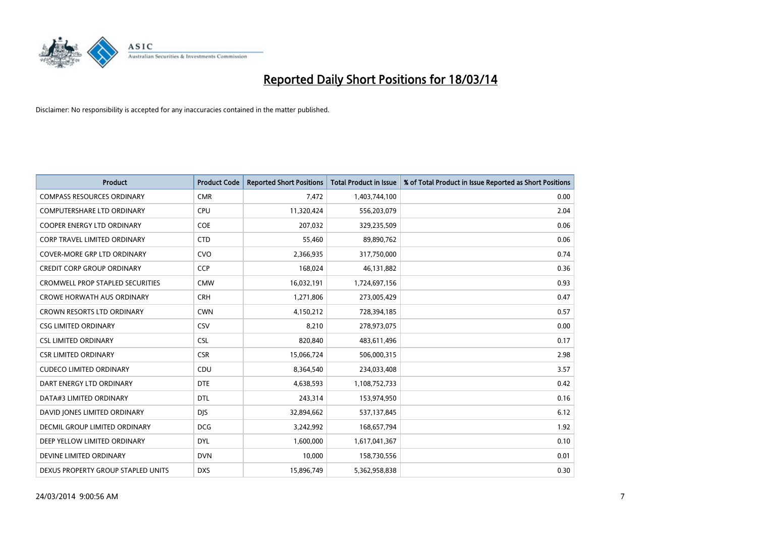

| <b>Product</b>                          | <b>Product Code</b> | <b>Reported Short Positions</b> | <b>Total Product in Issue</b> | % of Total Product in Issue Reported as Short Positions |
|-----------------------------------------|---------------------|---------------------------------|-------------------------------|---------------------------------------------------------|
| <b>COMPASS RESOURCES ORDINARY</b>       | <b>CMR</b>          | 7,472                           | 1,403,744,100                 | 0.00                                                    |
| COMPUTERSHARE LTD ORDINARY              | CPU                 | 11,320,424                      | 556,203,079                   | 2.04                                                    |
| <b>COOPER ENERGY LTD ORDINARY</b>       | <b>COE</b>          | 207,032                         | 329,235,509                   | 0.06                                                    |
| CORP TRAVEL LIMITED ORDINARY            | <b>CTD</b>          | 55,460                          | 89,890,762                    | 0.06                                                    |
| <b>COVER-MORE GRP LTD ORDINARY</b>      | <b>CVO</b>          | 2,366,935                       | 317,750,000                   | 0.74                                                    |
| <b>CREDIT CORP GROUP ORDINARY</b>       | <b>CCP</b>          | 168,024                         | 46,131,882                    | 0.36                                                    |
| <b>CROMWELL PROP STAPLED SECURITIES</b> | <b>CMW</b>          | 16,032,191                      | 1,724,697,156                 | 0.93                                                    |
| <b>CROWE HORWATH AUS ORDINARY</b>       | <b>CRH</b>          | 1,271,806                       | 273,005,429                   | 0.47                                                    |
| CROWN RESORTS LTD ORDINARY              | <b>CWN</b>          | 4,150,212                       | 728,394,185                   | 0.57                                                    |
| <b>CSG LIMITED ORDINARY</b>             | CSV                 | 8,210                           | 278,973,075                   | 0.00                                                    |
| <b>CSL LIMITED ORDINARY</b>             | <b>CSL</b>          | 820,840                         | 483,611,496                   | 0.17                                                    |
| <b>CSR LIMITED ORDINARY</b>             | <b>CSR</b>          | 15,066,724                      | 506,000,315                   | 2.98                                                    |
| <b>CUDECO LIMITED ORDINARY</b>          | CDU                 | 8,364,540                       | 234,033,408                   | 3.57                                                    |
| DART ENERGY LTD ORDINARY                | <b>DTE</b>          | 4,638,593                       | 1,108,752,733                 | 0.42                                                    |
| DATA#3 LIMITED ORDINARY                 | <b>DTL</b>          | 243,314                         | 153,974,950                   | 0.16                                                    |
| DAVID JONES LIMITED ORDINARY            | <b>DIS</b>          | 32,894,662                      | 537,137,845                   | 6.12                                                    |
| <b>DECMIL GROUP LIMITED ORDINARY</b>    | <b>DCG</b>          | 3,242,992                       | 168,657,794                   | 1.92                                                    |
| DEEP YELLOW LIMITED ORDINARY            | <b>DYL</b>          | 1,600,000                       | 1,617,041,367                 | 0.10                                                    |
| DEVINE LIMITED ORDINARY                 | <b>DVN</b>          | 10,000                          | 158,730,556                   | 0.01                                                    |
| DEXUS PROPERTY GROUP STAPLED UNITS      | <b>DXS</b>          | 15,896,749                      | 5,362,958,838                 | 0.30                                                    |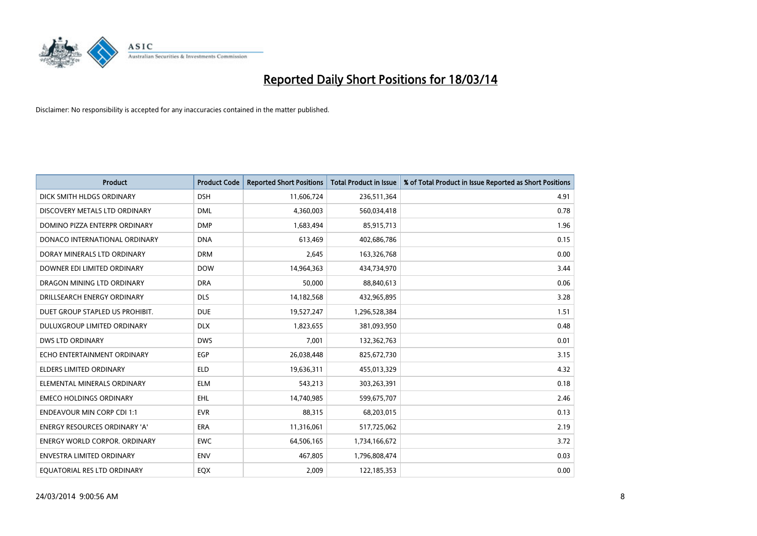

| <b>Product</b>                       | <b>Product Code</b> | <b>Reported Short Positions</b> | <b>Total Product in Issue</b> | % of Total Product in Issue Reported as Short Positions |
|--------------------------------------|---------------------|---------------------------------|-------------------------------|---------------------------------------------------------|
| DICK SMITH HLDGS ORDINARY            | <b>DSH</b>          | 11,606,724                      | 236,511,364                   | 4.91                                                    |
| DISCOVERY METALS LTD ORDINARY        | <b>DML</b>          | 4,360,003                       | 560,034,418                   | 0.78                                                    |
| DOMINO PIZZA ENTERPR ORDINARY        | <b>DMP</b>          | 1,683,494                       | 85,915,713                    | 1.96                                                    |
| DONACO INTERNATIONAL ORDINARY        | <b>DNA</b>          | 613,469                         | 402,686,786                   | 0.15                                                    |
| DORAY MINERALS LTD ORDINARY          | <b>DRM</b>          | 2,645                           | 163,326,768                   | 0.00                                                    |
| DOWNER EDI LIMITED ORDINARY          | <b>DOW</b>          | 14,964,363                      | 434,734,970                   | 3.44                                                    |
| DRAGON MINING LTD ORDINARY           | <b>DRA</b>          | 50.000                          | 88,840,613                    | 0.06                                                    |
| DRILLSEARCH ENERGY ORDINARY          | <b>DLS</b>          | 14,182,568                      | 432,965,895                   | 3.28                                                    |
| DUET GROUP STAPLED US PROHIBIT.      | <b>DUE</b>          | 19,527,247                      | 1,296,528,384                 | 1.51                                                    |
| DULUXGROUP LIMITED ORDINARY          | <b>DLX</b>          | 1,823,655                       | 381,093,950                   | 0.48                                                    |
| <b>DWS LTD ORDINARY</b>              | <b>DWS</b>          | 7,001                           | 132,362,763                   | 0.01                                                    |
| ECHO ENTERTAINMENT ORDINARY          | <b>EGP</b>          | 26,038,448                      | 825,672,730                   | 3.15                                                    |
| <b>ELDERS LIMITED ORDINARY</b>       | <b>ELD</b>          | 19,636,311                      | 455,013,329                   | 4.32                                                    |
| ELEMENTAL MINERALS ORDINARY          | <b>ELM</b>          | 543.213                         | 303,263,391                   | 0.18                                                    |
| <b>EMECO HOLDINGS ORDINARY</b>       | <b>EHL</b>          | 14,740,985                      | 599,675,707                   | 2.46                                                    |
| <b>ENDEAVOUR MIN CORP CDI 1:1</b>    | <b>EVR</b>          | 88,315                          | 68,203,015                    | 0.13                                                    |
| <b>ENERGY RESOURCES ORDINARY 'A'</b> | <b>ERA</b>          | 11,316,061                      | 517,725,062                   | 2.19                                                    |
| ENERGY WORLD CORPOR. ORDINARY        | <b>EWC</b>          | 64,506,165                      | 1,734,166,672                 | 3.72                                                    |
| <b>ENVESTRA LIMITED ORDINARY</b>     | <b>ENV</b>          | 467,805                         | 1,796,808,474                 | 0.03                                                    |
| EQUATORIAL RES LTD ORDINARY          | <b>EQX</b>          | 2.009                           | 122,185,353                   | 0.00                                                    |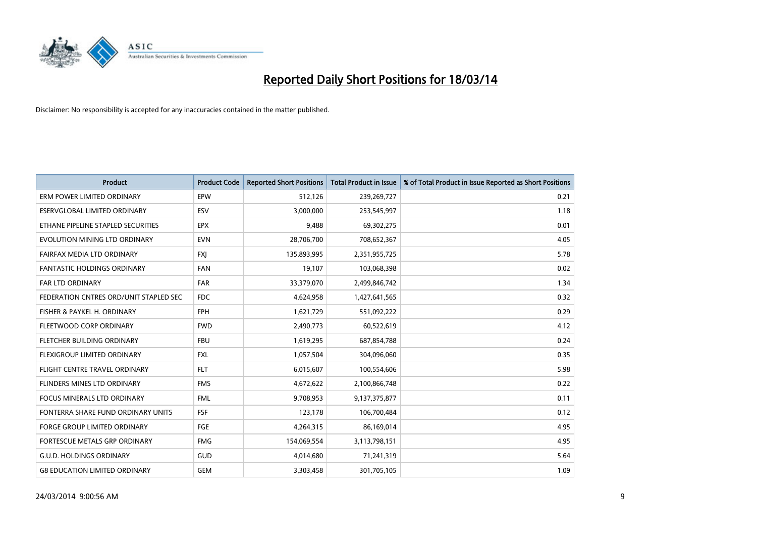

| <b>Product</b>                         | <b>Product Code</b> | <b>Reported Short Positions</b> | <b>Total Product in Issue</b> | % of Total Product in Issue Reported as Short Positions |
|----------------------------------------|---------------------|---------------------------------|-------------------------------|---------------------------------------------------------|
| ERM POWER LIMITED ORDINARY             | <b>EPW</b>          | 512,126                         | 239,269,727                   | 0.21                                                    |
| ESERVGLOBAL LIMITED ORDINARY           | ESV                 | 3,000,000                       | 253,545,997                   | 1.18                                                    |
| ETHANE PIPELINE STAPLED SECURITIES     | <b>EPX</b>          | 9,488                           | 69,302,275                    | 0.01                                                    |
| EVOLUTION MINING LTD ORDINARY          | <b>EVN</b>          | 28,706,700                      | 708,652,367                   | 4.05                                                    |
| FAIRFAX MEDIA LTD ORDINARY             | <b>FXI</b>          | 135,893,995                     | 2,351,955,725                 | 5.78                                                    |
| <b>FANTASTIC HOLDINGS ORDINARY</b>     | <b>FAN</b>          | 19,107                          | 103,068,398                   | 0.02                                                    |
| <b>FAR LTD ORDINARY</b>                | <b>FAR</b>          | 33,379,070                      | 2,499,846,742                 | 1.34                                                    |
| FEDERATION CNTRES ORD/UNIT STAPLED SEC | <b>FDC</b>          | 4,624,958                       | 1,427,641,565                 | 0.32                                                    |
| FISHER & PAYKEL H. ORDINARY            | <b>FPH</b>          | 1,621,729                       | 551,092,222                   | 0.29                                                    |
| FLEETWOOD CORP ORDINARY                | <b>FWD</b>          | 2,490,773                       | 60,522,619                    | 4.12                                                    |
| FLETCHER BUILDING ORDINARY             | <b>FBU</b>          | 1,619,295                       | 687,854,788                   | 0.24                                                    |
| <b>FLEXIGROUP LIMITED ORDINARY</b>     | <b>FXL</b>          | 1,057,504                       | 304,096,060                   | 0.35                                                    |
| FLIGHT CENTRE TRAVEL ORDINARY          | <b>FLT</b>          | 6,015,607                       | 100,554,606                   | 5.98                                                    |
| FLINDERS MINES LTD ORDINARY            | <b>FMS</b>          | 4,672,622                       | 2,100,866,748                 | 0.22                                                    |
| <b>FOCUS MINERALS LTD ORDINARY</b>     | <b>FML</b>          | 9,708,953                       | 9,137,375,877                 | 0.11                                                    |
| FONTERRA SHARE FUND ORDINARY UNITS     | <b>FSF</b>          | 123,178                         | 106,700,484                   | 0.12                                                    |
| <b>FORGE GROUP LIMITED ORDINARY</b>    | FGE                 | 4,264,315                       | 86,169,014                    | 4.95                                                    |
| FORTESCUE METALS GRP ORDINARY          | <b>FMG</b>          | 154,069,554                     | 3,113,798,151                 | 4.95                                                    |
| <b>G.U.D. HOLDINGS ORDINARY</b>        | <b>GUD</b>          | 4,014,680                       | 71,241,319                    | 5.64                                                    |
| <b>G8 EDUCATION LIMITED ORDINARY</b>   | GEM                 | 3,303,458                       | 301,705,105                   | 1.09                                                    |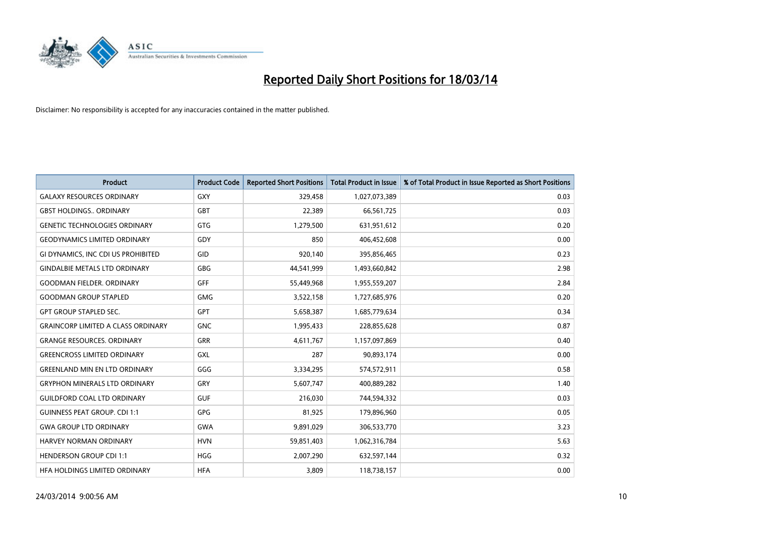

| <b>Product</b>                            | <b>Product Code</b> | <b>Reported Short Positions</b> | Total Product in Issue | % of Total Product in Issue Reported as Short Positions |
|-------------------------------------------|---------------------|---------------------------------|------------------------|---------------------------------------------------------|
| <b>GALAXY RESOURCES ORDINARY</b>          | GXY                 | 329,458                         | 1,027,073,389          | 0.03                                                    |
| <b>GBST HOLDINGS ORDINARY</b>             | <b>GBT</b>          | 22,389                          | 66,561,725             | 0.03                                                    |
| <b>GENETIC TECHNOLOGIES ORDINARY</b>      | <b>GTG</b>          | 1,279,500                       | 631,951,612            | 0.20                                                    |
| <b>GEODYNAMICS LIMITED ORDINARY</b>       | GDY                 | 850                             | 406,452,608            | 0.00                                                    |
| <b>GI DYNAMICS. INC CDI US PROHIBITED</b> | GID                 | 920,140                         | 395,856,465            | 0.23                                                    |
| <b>GINDALBIE METALS LTD ORDINARY</b>      | GBG                 | 44,541,999                      | 1,493,660,842          | 2.98                                                    |
| <b>GOODMAN FIELDER, ORDINARY</b>          | <b>GFF</b>          | 55,449,968                      | 1,955,559,207          | 2.84                                                    |
| <b>GOODMAN GROUP STAPLED</b>              | GMG                 | 3,522,158                       | 1,727,685,976          | 0.20                                                    |
| <b>GPT GROUP STAPLED SEC.</b>             | <b>GPT</b>          | 5,658,387                       | 1,685,779,634          | 0.34                                                    |
| <b>GRAINCORP LIMITED A CLASS ORDINARY</b> | <b>GNC</b>          | 1,995,433                       | 228,855,628            | 0.87                                                    |
| <b>GRANGE RESOURCES. ORDINARY</b>         | <b>GRR</b>          | 4,611,767                       | 1,157,097,869          | 0.40                                                    |
| <b>GREENCROSS LIMITED ORDINARY</b>        | GXL                 | 287                             | 90,893,174             | 0.00                                                    |
| <b>GREENLAND MIN EN LTD ORDINARY</b>      | GGG                 | 3,334,295                       | 574,572,911            | 0.58                                                    |
| <b>GRYPHON MINERALS LTD ORDINARY</b>      | GRY                 | 5,607,747                       | 400,889,282            | 1.40                                                    |
| <b>GUILDFORD COAL LTD ORDINARY</b>        | <b>GUF</b>          | 216,030                         | 744,594,332            | 0.03                                                    |
| <b>GUINNESS PEAT GROUP. CDI 1:1</b>       | <b>GPG</b>          | 81,925                          | 179,896,960            | 0.05                                                    |
| <b>GWA GROUP LTD ORDINARY</b>             | <b>GWA</b>          | 9,891,029                       | 306,533,770            | 3.23                                                    |
| <b>HARVEY NORMAN ORDINARY</b>             | <b>HVN</b>          | 59,851,403                      | 1,062,316,784          | 5.63                                                    |
| <b>HENDERSON GROUP CDI 1:1</b>            | <b>HGG</b>          | 2,007,290                       | 632,597,144            | 0.32                                                    |
| HEA HOLDINGS LIMITED ORDINARY             | <b>HFA</b>          | 3.809                           | 118,738,157            | 0.00                                                    |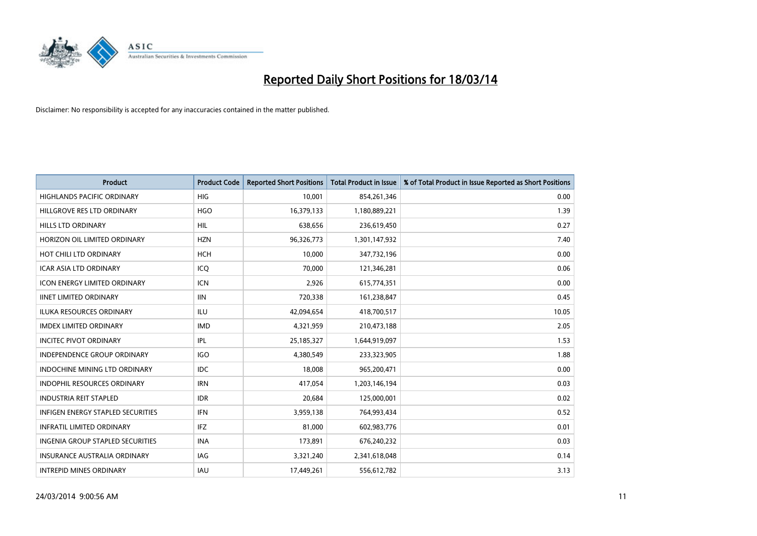

| <b>Product</b>                           | <b>Product Code</b> | <b>Reported Short Positions</b> | <b>Total Product in Issue</b> | % of Total Product in Issue Reported as Short Positions |
|------------------------------------------|---------------------|---------------------------------|-------------------------------|---------------------------------------------------------|
| <b>HIGHLANDS PACIFIC ORDINARY</b>        | <b>HIG</b>          | 10,001                          | 854,261,346                   | 0.00                                                    |
| HILLGROVE RES LTD ORDINARY               | <b>HGO</b>          | 16,379,133                      | 1,180,889,221                 | 1.39                                                    |
| <b>HILLS LTD ORDINARY</b>                | <b>HIL</b>          | 638,656                         | 236,619,450                   | 0.27                                                    |
| HORIZON OIL LIMITED ORDINARY             | <b>HZN</b>          | 96,326,773                      | 1,301,147,932                 | 7.40                                                    |
| HOT CHILI LTD ORDINARY                   | <b>HCH</b>          | 10,000                          | 347,732,196                   | 0.00                                                    |
| <b>ICAR ASIA LTD ORDINARY</b>            | ICO                 | 70.000                          | 121,346,281                   | 0.06                                                    |
| <b>ICON ENERGY LIMITED ORDINARY</b>      | <b>ICN</b>          | 2,926                           | 615,774,351                   | 0.00                                                    |
| <b>IINET LIMITED ORDINARY</b>            | <b>IIN</b>          | 720,338                         | 161,238,847                   | 0.45                                                    |
| ILUKA RESOURCES ORDINARY                 | ILU                 | 42,094,654                      | 418,700,517                   | 10.05                                                   |
| <b>IMDEX LIMITED ORDINARY</b>            | <b>IMD</b>          | 4,321,959                       | 210,473,188                   | 2.05                                                    |
| <b>INCITEC PIVOT ORDINARY</b>            | IPL                 | 25,185,327                      | 1,644,919,097                 | 1.53                                                    |
| <b>INDEPENDENCE GROUP ORDINARY</b>       | <b>IGO</b>          | 4,380,549                       | 233,323,905                   | 1.88                                                    |
| <b>INDOCHINE MINING LTD ORDINARY</b>     | <b>IDC</b>          | 18,008                          | 965,200,471                   | 0.00                                                    |
| <b>INDOPHIL RESOURCES ORDINARY</b>       | <b>IRN</b>          | 417,054                         | 1,203,146,194                 | 0.03                                                    |
| <b>INDUSTRIA REIT STAPLED</b>            | <b>IDR</b>          | 20,684                          | 125,000,001                   | 0.02                                                    |
| <b>INFIGEN ENERGY STAPLED SECURITIES</b> | <b>IFN</b>          | 3,959,138                       | 764,993,434                   | 0.52                                                    |
| <b>INFRATIL LIMITED ORDINARY</b>         | <b>IFZ</b>          | 81,000                          | 602,983,776                   | 0.01                                                    |
| INGENIA GROUP STAPLED SECURITIES         | <b>INA</b>          | 173,891                         | 676,240,232                   | 0.03                                                    |
| <b>INSURANCE AUSTRALIA ORDINARY</b>      | IAG                 | 3,321,240                       | 2,341,618,048                 | 0.14                                                    |
| <b>INTREPID MINES ORDINARY</b>           | <b>IAU</b>          | 17,449,261                      | 556,612,782                   | 3.13                                                    |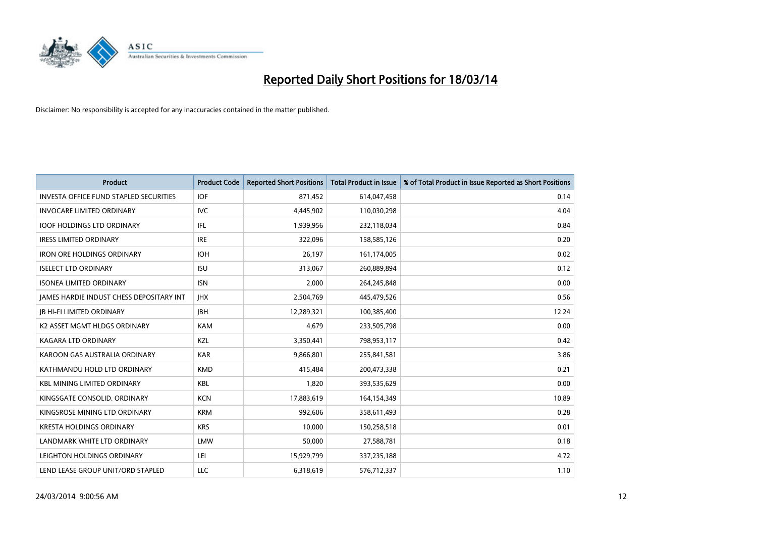

| <b>Product</b>                                  | <b>Product Code</b> | <b>Reported Short Positions</b> | <b>Total Product in Issue</b> | % of Total Product in Issue Reported as Short Positions |
|-------------------------------------------------|---------------------|---------------------------------|-------------------------------|---------------------------------------------------------|
| <b>INVESTA OFFICE FUND STAPLED SECURITIES</b>   | <b>IOF</b>          | 871,452                         | 614,047,458                   | 0.14                                                    |
| <b>INVOCARE LIMITED ORDINARY</b>                | IVC                 | 4,445,902                       | 110,030,298                   | 4.04                                                    |
| <b>IOOF HOLDINGS LTD ORDINARY</b>               | IFL                 | 1,939,956                       | 232,118,034                   | 0.84                                                    |
| <b>IRESS LIMITED ORDINARY</b>                   | <b>IRE</b>          | 322,096                         | 158,585,126                   | 0.20                                                    |
| <b>IRON ORE HOLDINGS ORDINARY</b>               | <b>IOH</b>          | 26,197                          | 161,174,005                   | 0.02                                                    |
| <b>ISELECT LTD ORDINARY</b>                     | <b>ISU</b>          | 313,067                         | 260,889,894                   | 0.12                                                    |
| <b>ISONEA LIMITED ORDINARY</b>                  | <b>ISN</b>          | 2.000                           | 264,245,848                   | 0.00                                                    |
| <b>JAMES HARDIE INDUST CHESS DEPOSITARY INT</b> | <b>IHX</b>          | 2,504,769                       | 445,479,526                   | 0.56                                                    |
| <b>IB HI-FI LIMITED ORDINARY</b>                | <b>IBH</b>          | 12,289,321                      | 100,385,400                   | 12.24                                                   |
| K2 ASSET MGMT HLDGS ORDINARY                    | <b>KAM</b>          | 4.679                           | 233,505,798                   | 0.00                                                    |
| <b>KAGARA LTD ORDINARY</b>                      | <b>KZL</b>          | 3,350,441                       | 798,953,117                   | 0.42                                                    |
| KAROON GAS AUSTRALIA ORDINARY                   | <b>KAR</b>          | 9,866,801                       | 255,841,581                   | 3.86                                                    |
| KATHMANDU HOLD LTD ORDINARY                     | <b>KMD</b>          | 415,484                         | 200,473,338                   | 0.21                                                    |
| <b>KBL MINING LIMITED ORDINARY</b>              | <b>KBL</b>          | 1,820                           | 393,535,629                   | 0.00                                                    |
| KINGSGATE CONSOLID. ORDINARY                    | <b>KCN</b>          | 17,883,619                      | 164,154,349                   | 10.89                                                   |
| KINGSROSE MINING LTD ORDINARY                   | <b>KRM</b>          | 992.606                         | 358,611,493                   | 0.28                                                    |
| <b>KRESTA HOLDINGS ORDINARY</b>                 | <b>KRS</b>          | 10,000                          | 150,258,518                   | 0.01                                                    |
| LANDMARK WHITE LTD ORDINARY                     | <b>LMW</b>          | 50,000                          | 27,588,781                    | 0.18                                                    |
| LEIGHTON HOLDINGS ORDINARY                      | LEI                 | 15,929,799                      | 337,235,188                   | 4.72                                                    |
| LEND LEASE GROUP UNIT/ORD STAPLED               | LLC                 | 6,318,619                       | 576,712,337                   | 1.10                                                    |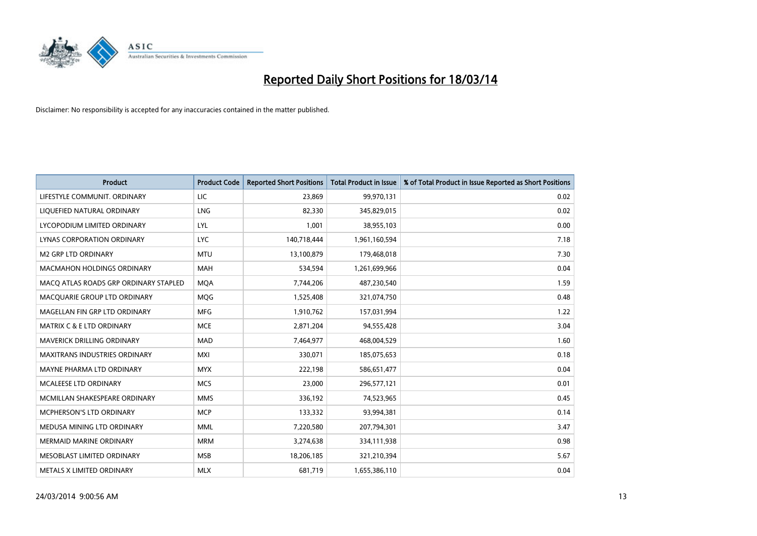

| <b>Product</b>                        | <b>Product Code</b> | <b>Reported Short Positions</b> | <b>Total Product in Issue</b> | % of Total Product in Issue Reported as Short Positions |
|---------------------------------------|---------------------|---------------------------------|-------------------------------|---------------------------------------------------------|
| LIFESTYLE COMMUNIT, ORDINARY          | <b>LIC</b>          | 23,869                          | 99,970,131                    | 0.02                                                    |
| LIQUEFIED NATURAL ORDINARY            | LNG                 | 82,330                          | 345,829,015                   | 0.02                                                    |
| LYCOPODIUM LIMITED ORDINARY           | LYL                 | 1,001                           | 38,955,103                    | 0.00                                                    |
| LYNAS CORPORATION ORDINARY            | <b>LYC</b>          | 140,718,444                     | 1,961,160,594                 | 7.18                                                    |
| <b>M2 GRP LTD ORDINARY</b>            | <b>MTU</b>          | 13,100,879                      | 179,468,018                   | 7.30                                                    |
| <b>MACMAHON HOLDINGS ORDINARY</b>     | <b>MAH</b>          | 534,594                         | 1,261,699,966                 | 0.04                                                    |
| MACO ATLAS ROADS GRP ORDINARY STAPLED | <b>MOA</b>          | 7,744,206                       | 487,230,540                   | 1.59                                                    |
| MACQUARIE GROUP LTD ORDINARY          | <b>MOG</b>          | 1,525,408                       | 321,074,750                   | 0.48                                                    |
| MAGELLAN FIN GRP LTD ORDINARY         | <b>MFG</b>          | 1,910,762                       | 157,031,994                   | 1.22                                                    |
| <b>MATRIX C &amp; E LTD ORDINARY</b>  | <b>MCE</b>          | 2,871,204                       | 94,555,428                    | 3.04                                                    |
| MAVERICK DRILLING ORDINARY            | <b>MAD</b>          | 7,464,977                       | 468,004,529                   | 1.60                                                    |
| <b>MAXITRANS INDUSTRIES ORDINARY</b>  | <b>MXI</b>          | 330,071                         | 185,075,653                   | 0.18                                                    |
| MAYNE PHARMA LTD ORDINARY             | <b>MYX</b>          | 222,198                         | 586,651,477                   | 0.04                                                    |
| <b>MCALEESE LTD ORDINARY</b>          | <b>MCS</b>          | 23,000                          | 296,577,121                   | 0.01                                                    |
| MCMILLAN SHAKESPEARE ORDINARY         | <b>MMS</b>          | 336,192                         | 74,523,965                    | 0.45                                                    |
| MCPHERSON'S LTD ORDINARY              | <b>MCP</b>          | 133,332                         | 93,994,381                    | 0.14                                                    |
| MEDUSA MINING LTD ORDINARY            | <b>MML</b>          | 7,220,580                       | 207,794,301                   | 3.47                                                    |
| <b>MERMAID MARINE ORDINARY</b>        | <b>MRM</b>          | 3,274,638                       | 334,111,938                   | 0.98                                                    |
| MESOBLAST LIMITED ORDINARY            | <b>MSB</b>          | 18,206,185                      | 321,210,394                   | 5.67                                                    |
| METALS X LIMITED ORDINARY             | <b>MLX</b>          | 681,719                         | 1,655,386,110                 | 0.04                                                    |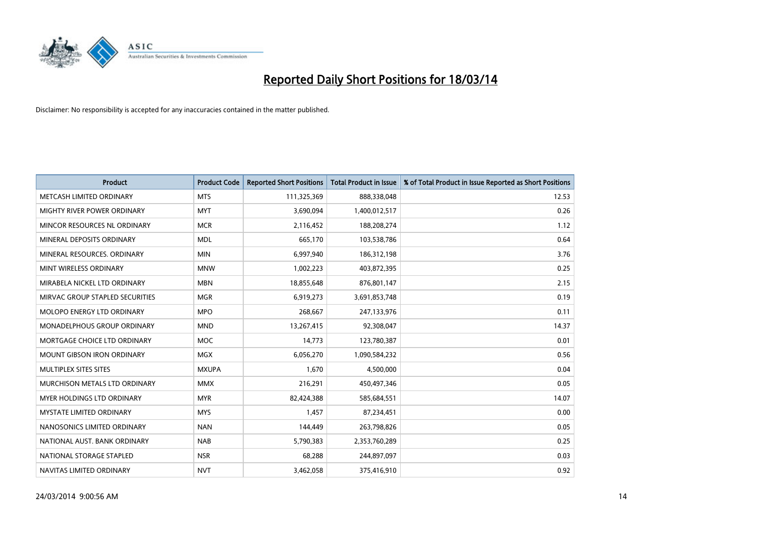

| <b>Product</b>                       | <b>Product Code</b> | <b>Reported Short Positions</b> | <b>Total Product in Issue</b> | % of Total Product in Issue Reported as Short Positions |
|--------------------------------------|---------------------|---------------------------------|-------------------------------|---------------------------------------------------------|
| METCASH LIMITED ORDINARY             | <b>MTS</b>          | 111,325,369                     | 888,338,048                   | 12.53                                                   |
| MIGHTY RIVER POWER ORDINARY          | <b>MYT</b>          | 3,690,094                       | 1,400,012,517                 | 0.26                                                    |
| MINCOR RESOURCES NL ORDINARY         | <b>MCR</b>          | 2,116,452                       | 188,208,274                   | 1.12                                                    |
| MINERAL DEPOSITS ORDINARY            | <b>MDL</b>          | 665,170                         | 103,538,786                   | 0.64                                                    |
| MINERAL RESOURCES, ORDINARY          | <b>MIN</b>          | 6,997,940                       | 186,312,198                   | 3.76                                                    |
| MINT WIRELESS ORDINARY               | <b>MNW</b>          | 1,002,223                       | 403,872,395                   | 0.25                                                    |
| MIRABELA NICKEL LTD ORDINARY         | <b>MBN</b>          | 18,855,648                      | 876,801,147                   | 2.15                                                    |
| MIRVAC GROUP STAPLED SECURITIES      | <b>MGR</b>          | 6,919,273                       | 3,691,853,748                 | 0.19                                                    |
| <b>MOLOPO ENERGY LTD ORDINARY</b>    | <b>MPO</b>          | 268,667                         | 247,133,976                   | 0.11                                                    |
| <b>MONADELPHOUS GROUP ORDINARY</b>   | <b>MND</b>          | 13,267,415                      | 92,308,047                    | 14.37                                                   |
| MORTGAGE CHOICE LTD ORDINARY         | <b>MOC</b>          | 14,773                          | 123,780,387                   | 0.01                                                    |
| <b>MOUNT GIBSON IRON ORDINARY</b>    | <b>MGX</b>          | 6,056,270                       | 1,090,584,232                 | 0.56                                                    |
| <b>MULTIPLEX SITES SITES</b>         | <b>MXUPA</b>        | 1.670                           | 4,500,000                     | 0.04                                                    |
| <b>MURCHISON METALS LTD ORDINARY</b> | <b>MMX</b>          | 216,291                         | 450,497,346                   | 0.05                                                    |
| <b>MYER HOLDINGS LTD ORDINARY</b>    | <b>MYR</b>          | 82,424,388                      | 585,684,551                   | 14.07                                                   |
| <b>MYSTATE LIMITED ORDINARY</b>      | <b>MYS</b>          | 1,457                           | 87,234,451                    | 0.00                                                    |
| NANOSONICS LIMITED ORDINARY          | <b>NAN</b>          | 144,449                         | 263,798,826                   | 0.05                                                    |
| NATIONAL AUST, BANK ORDINARY         | <b>NAB</b>          | 5,790,383                       | 2,353,760,289                 | 0.25                                                    |
| NATIONAL STORAGE STAPLED             | <b>NSR</b>          | 68,288                          | 244,897,097                   | 0.03                                                    |
| NAVITAS LIMITED ORDINARY             | <b>NVT</b>          | 3,462,058                       | 375,416,910                   | 0.92                                                    |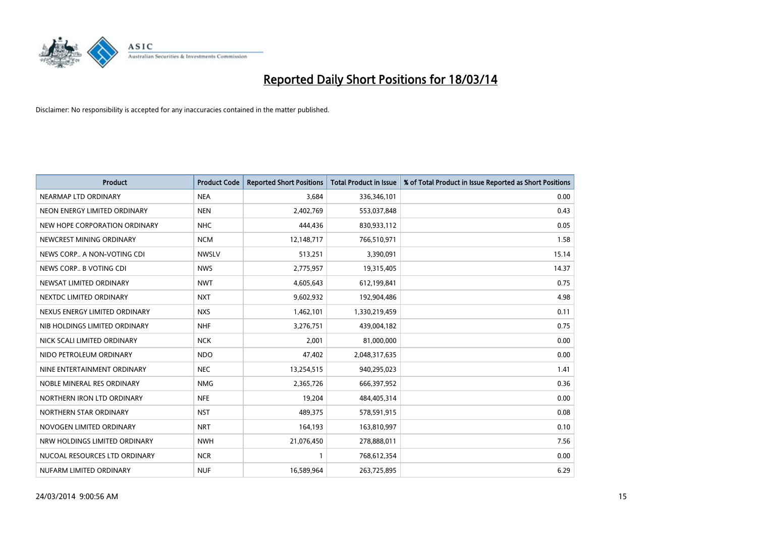

| <b>Product</b>                | <b>Product Code</b> | <b>Reported Short Positions</b> | <b>Total Product in Issue</b> | % of Total Product in Issue Reported as Short Positions |
|-------------------------------|---------------------|---------------------------------|-------------------------------|---------------------------------------------------------|
| NEARMAP LTD ORDINARY          | <b>NEA</b>          | 3,684                           | 336,346,101                   | 0.00                                                    |
| NEON ENERGY LIMITED ORDINARY  | <b>NEN</b>          | 2,402,769                       | 553,037,848                   | 0.43                                                    |
| NEW HOPE CORPORATION ORDINARY | NHC                 | 444,436                         | 830,933,112                   | 0.05                                                    |
| NEWCREST MINING ORDINARY      | <b>NCM</b>          | 12,148,717                      | 766,510,971                   | 1.58                                                    |
| NEWS CORP A NON-VOTING CDI    | <b>NWSLV</b>        | 513,251                         | 3,390,091                     | 15.14                                                   |
| NEWS CORP B VOTING CDI        | <b>NWS</b>          | 2,775,957                       | 19,315,405                    | 14.37                                                   |
| NEWSAT LIMITED ORDINARY       | <b>NWT</b>          | 4,605,643                       | 612,199,841                   | 0.75                                                    |
| NEXTDC LIMITED ORDINARY       | <b>NXT</b>          | 9,602,932                       | 192,904,486                   | 4.98                                                    |
| NEXUS ENERGY LIMITED ORDINARY | <b>NXS</b>          | 1,462,101                       | 1,330,219,459                 | 0.11                                                    |
| NIB HOLDINGS LIMITED ORDINARY | <b>NHF</b>          | 3,276,751                       | 439,004,182                   | 0.75                                                    |
| NICK SCALI LIMITED ORDINARY   | <b>NCK</b>          | 2,001                           | 81,000,000                    | 0.00                                                    |
| NIDO PETROLEUM ORDINARY       | <b>NDO</b>          | 47,402                          | 2,048,317,635                 | 0.00                                                    |
| NINE ENTERTAINMENT ORDINARY   | <b>NEC</b>          | 13,254,515                      | 940,295,023                   | 1.41                                                    |
| NOBLE MINERAL RES ORDINARY    | <b>NMG</b>          | 2,365,726                       | 666,397,952                   | 0.36                                                    |
| NORTHERN IRON LTD ORDINARY    | <b>NFE</b>          | 19,204                          | 484,405,314                   | 0.00                                                    |
| NORTHERN STAR ORDINARY        | <b>NST</b>          | 489,375                         | 578,591,915                   | 0.08                                                    |
| NOVOGEN LIMITED ORDINARY      | <b>NRT</b>          | 164,193                         | 163,810,997                   | 0.10                                                    |
| NRW HOLDINGS LIMITED ORDINARY | <b>NWH</b>          | 21,076,450                      | 278,888,011                   | 7.56                                                    |
| NUCOAL RESOURCES LTD ORDINARY | <b>NCR</b>          | 1                               | 768,612,354                   | 0.00                                                    |
| NUFARM LIMITED ORDINARY       | <b>NUF</b>          | 16,589,964                      | 263,725,895                   | 6.29                                                    |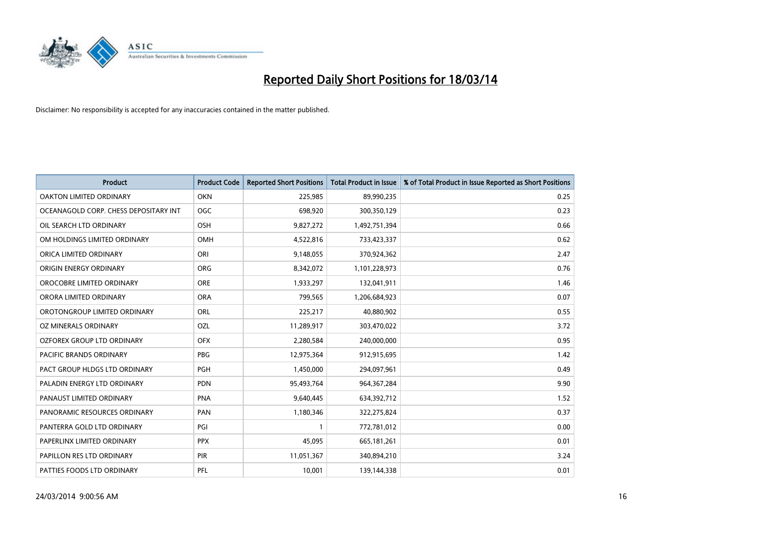

| <b>Product</b>                        | <b>Product Code</b> | <b>Reported Short Positions</b> | <b>Total Product in Issue</b> | % of Total Product in Issue Reported as Short Positions |
|---------------------------------------|---------------------|---------------------------------|-------------------------------|---------------------------------------------------------|
| <b>OAKTON LIMITED ORDINARY</b>        | <b>OKN</b>          | 225,985                         | 89,990,235                    | 0.25                                                    |
| OCEANAGOLD CORP. CHESS DEPOSITARY INT | <b>OGC</b>          | 698,920                         | 300,350,129                   | 0.23                                                    |
| OIL SEARCH LTD ORDINARY               | <b>OSH</b>          | 9,827,272                       | 1,492,751,394                 | 0.66                                                    |
| OM HOLDINGS LIMITED ORDINARY          | OMH                 | 4,522,816                       | 733,423,337                   | 0.62                                                    |
| ORICA LIMITED ORDINARY                | ORI                 | 9,148,055                       | 370,924,362                   | 2.47                                                    |
| ORIGIN ENERGY ORDINARY                | <b>ORG</b>          | 8,342,072                       | 1,101,228,973                 | 0.76                                                    |
| OROCOBRE LIMITED ORDINARY             | <b>ORE</b>          | 1,933,297                       | 132,041,911                   | 1.46                                                    |
| ORORA LIMITED ORDINARY                | <b>ORA</b>          | 799,565                         | 1,206,684,923                 | 0.07                                                    |
| OROTONGROUP LIMITED ORDINARY          | <b>ORL</b>          | 225,217                         | 40,880,902                    | 0.55                                                    |
| OZ MINERALS ORDINARY                  | OZL                 | 11,289,917                      | 303,470,022                   | 3.72                                                    |
| <b>OZFOREX GROUP LTD ORDINARY</b>     | <b>OFX</b>          | 2,280,584                       | 240,000,000                   | 0.95                                                    |
| PACIFIC BRANDS ORDINARY               | <b>PBG</b>          | 12,975,364                      | 912,915,695                   | 1.42                                                    |
| PACT GROUP HLDGS LTD ORDINARY         | <b>PGH</b>          | 1,450,000                       | 294,097,961                   | 0.49                                                    |
| PALADIN ENERGY LTD ORDINARY           | <b>PDN</b>          | 95,493,764                      | 964,367,284                   | 9.90                                                    |
| PANAUST LIMITED ORDINARY              | <b>PNA</b>          | 9,640,445                       | 634,392,712                   | 1.52                                                    |
| PANORAMIC RESOURCES ORDINARY          | PAN                 | 1,180,346                       | 322,275,824                   | 0.37                                                    |
| PANTERRA GOLD LTD ORDINARY            | PGI                 |                                 | 772,781,012                   | 0.00                                                    |
| PAPERLINX LIMITED ORDINARY            | <b>PPX</b>          | 45,095                          | 665,181,261                   | 0.01                                                    |
| PAPILLON RES LTD ORDINARY             | <b>PIR</b>          | 11,051,367                      | 340,894,210                   | 3.24                                                    |
| PATTIES FOODS LTD ORDINARY            | PFL                 | 10,001                          | 139,144,338                   | 0.01                                                    |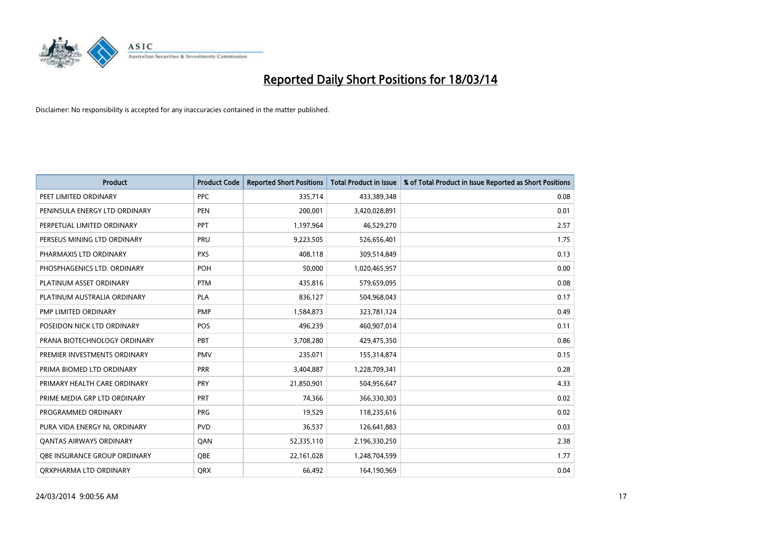

| <b>Product</b>                      | <b>Product Code</b> | <b>Reported Short Positions</b> | <b>Total Product in Issue</b> | % of Total Product in Issue Reported as Short Positions |
|-------------------------------------|---------------------|---------------------------------|-------------------------------|---------------------------------------------------------|
| PEET LIMITED ORDINARY               | <b>PPC</b>          | 335,714                         | 433,389,348                   | 0.08                                                    |
| PENINSULA ENERGY LTD ORDINARY       | <b>PEN</b>          | 200,001                         | 3,420,028,891                 | 0.01                                                    |
| PERPETUAL LIMITED ORDINARY          | PPT                 | 1,197,964                       | 46,529,270                    | 2.57                                                    |
| PERSEUS MINING LTD ORDINARY         | PRU                 | 9,223,505                       | 526,656,401                   | 1.75                                                    |
| PHARMAXIS LTD ORDINARY              | <b>PXS</b>          | 408,118                         | 309,514,849                   | 0.13                                                    |
| PHOSPHAGENICS LTD. ORDINARY         | POH                 | 50,000                          | 1,020,465,957                 | 0.00                                                    |
| PLATINUM ASSET ORDINARY             | <b>PTM</b>          | 435,816                         | 579,659,095                   | 0.08                                                    |
| PLATINUM AUSTRALIA ORDINARY         | <b>PLA</b>          | 836,127                         | 504,968,043                   | 0.17                                                    |
| PMP LIMITED ORDINARY                | <b>PMP</b>          | 1,584,873                       | 323,781,124                   | 0.49                                                    |
| POSEIDON NICK LTD ORDINARY          | POS                 | 496,239                         | 460,907,014                   | 0.11                                                    |
| PRANA BIOTECHNOLOGY ORDINARY        | PBT                 | 3,708,280                       | 429,475,350                   | 0.86                                                    |
| PREMIER INVESTMENTS ORDINARY        | <b>PMV</b>          | 235,071                         | 155,314,874                   | 0.15                                                    |
| PRIMA BIOMED LTD ORDINARY           | <b>PRR</b>          | 3,404,887                       | 1,228,709,341                 | 0.28                                                    |
| PRIMARY HEALTH CARE ORDINARY        | <b>PRY</b>          | 21,850,901                      | 504,956,647                   | 4.33                                                    |
| PRIME MEDIA GRP LTD ORDINARY        | PRT                 | 74,366                          | 366,330,303                   | 0.02                                                    |
| PROGRAMMED ORDINARY                 | <b>PRG</b>          | 19,529                          | 118,235,616                   | 0.02                                                    |
| PURA VIDA ENERGY NL ORDINARY        | <b>PVD</b>          | 36,537                          | 126,641,883                   | 0.03                                                    |
| <b>QANTAS AIRWAYS ORDINARY</b>      | QAN                 | 52,335,110                      | 2,196,330,250                 | 2.38                                                    |
| <b>OBE INSURANCE GROUP ORDINARY</b> | <b>OBE</b>          | 22,161,028                      | 1,248,704,599                 | 1.77                                                    |
| ORXPHARMA LTD ORDINARY              | <b>ORX</b>          | 66,492                          | 164,190,969                   | 0.04                                                    |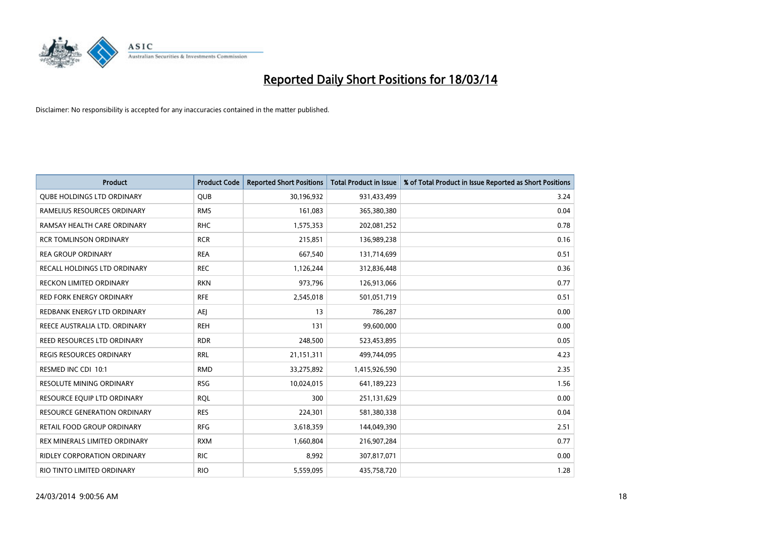

| <b>Product</b>                     | <b>Product Code</b> | <b>Reported Short Positions</b> | <b>Total Product in Issue</b> | % of Total Product in Issue Reported as Short Positions |
|------------------------------------|---------------------|---------------------------------|-------------------------------|---------------------------------------------------------|
| <b>OUBE HOLDINGS LTD ORDINARY</b>  | <b>QUB</b>          | 30,196,932                      | 931,433,499                   | 3.24                                                    |
| RAMELIUS RESOURCES ORDINARY        | <b>RMS</b>          | 161,083                         | 365,380,380                   | 0.04                                                    |
| RAMSAY HEALTH CARE ORDINARY        | <b>RHC</b>          | 1,575,353                       | 202,081,252                   | 0.78                                                    |
| <b>RCR TOMLINSON ORDINARY</b>      | <b>RCR</b>          | 215,851                         | 136,989,238                   | 0.16                                                    |
| <b>REA GROUP ORDINARY</b>          | <b>REA</b>          | 667,540                         | 131,714,699                   | 0.51                                                    |
| RECALL HOLDINGS LTD ORDINARY       | <b>REC</b>          | 1,126,244                       | 312,836,448                   | 0.36                                                    |
| RECKON LIMITED ORDINARY            | <b>RKN</b>          | 973,796                         | 126,913,066                   | 0.77                                                    |
| <b>RED FORK ENERGY ORDINARY</b>    | <b>RFE</b>          | 2,545,018                       | 501,051,719                   | 0.51                                                    |
| REDBANK ENERGY LTD ORDINARY        | AEJ                 | 13                              | 786,287                       | 0.00                                                    |
| REECE AUSTRALIA LTD. ORDINARY      | <b>REH</b>          | 131                             | 99,600,000                    | 0.00                                                    |
| REED RESOURCES LTD ORDINARY        | <b>RDR</b>          | 248,500                         | 523,453,895                   | 0.05                                                    |
| REGIS RESOURCES ORDINARY           | <b>RRL</b>          | 21,151,311                      | 499,744,095                   | 4.23                                                    |
| RESMED INC CDI 10:1                | <b>RMD</b>          | 33,275,892                      | 1,415,926,590                 | 2.35                                                    |
| <b>RESOLUTE MINING ORDINARY</b>    | <b>RSG</b>          | 10,024,015                      | 641,189,223                   | 1.56                                                    |
| RESOURCE EQUIP LTD ORDINARY        | <b>RQL</b>          | 300                             | 251,131,629                   | 0.00                                                    |
| RESOURCE GENERATION ORDINARY       | <b>RES</b>          | 224,301                         | 581,380,338                   | 0.04                                                    |
| RETAIL FOOD GROUP ORDINARY         | <b>RFG</b>          | 3,618,359                       | 144,049,390                   | 2.51                                                    |
| REX MINERALS LIMITED ORDINARY      | <b>RXM</b>          | 1,660,804                       | 216,907,284                   | 0.77                                                    |
| <b>RIDLEY CORPORATION ORDINARY</b> | <b>RIC</b>          | 8,992                           | 307,817,071                   | 0.00                                                    |
| RIO TINTO LIMITED ORDINARY         | <b>RIO</b>          | 5,559,095                       | 435,758,720                   | 1.28                                                    |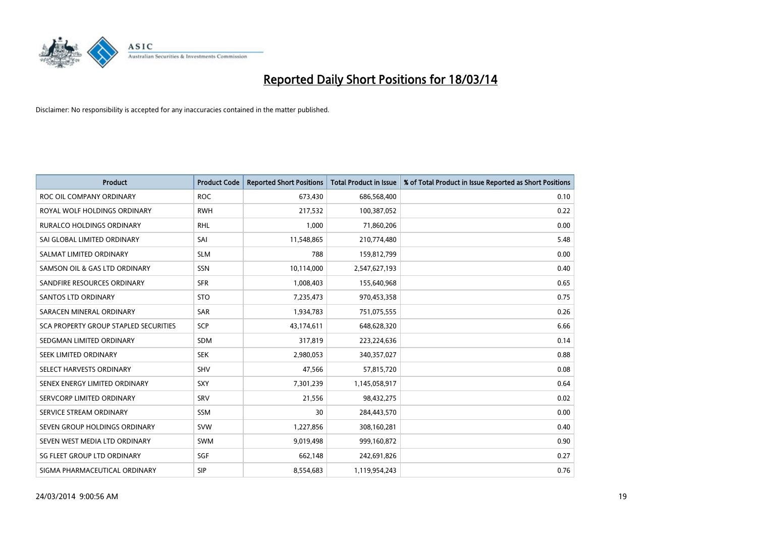

| <b>Product</b>                        | <b>Product Code</b> | <b>Reported Short Positions</b> | <b>Total Product in Issue</b> | % of Total Product in Issue Reported as Short Positions |
|---------------------------------------|---------------------|---------------------------------|-------------------------------|---------------------------------------------------------|
| ROC OIL COMPANY ORDINARY              | <b>ROC</b>          | 673,430                         | 686,568,400                   | 0.10                                                    |
| ROYAL WOLF HOLDINGS ORDINARY          | <b>RWH</b>          | 217,532                         | 100,387,052                   | 0.22                                                    |
| <b>RURALCO HOLDINGS ORDINARY</b>      | <b>RHL</b>          | 1.000                           | 71,860,206                    | 0.00                                                    |
| SAI GLOBAL LIMITED ORDINARY           | SAI                 | 11,548,865                      | 210,774,480                   | 5.48                                                    |
| SALMAT LIMITED ORDINARY               | <b>SLM</b>          | 788                             | 159,812,799                   | 0.00                                                    |
| SAMSON OIL & GAS LTD ORDINARY         | SSN                 | 10,114,000                      | 2,547,627,193                 | 0.40                                                    |
| SANDFIRE RESOURCES ORDINARY           | <b>SFR</b>          | 1,008,403                       | 155,640,968                   | 0.65                                                    |
| <b>SANTOS LTD ORDINARY</b>            | <b>STO</b>          | 7,235,473                       | 970,453,358                   | 0.75                                                    |
| SARACEN MINERAL ORDINARY              | <b>SAR</b>          | 1,934,783                       | 751,075,555                   | 0.26                                                    |
| SCA PROPERTY GROUP STAPLED SECURITIES | <b>SCP</b>          | 43,174,611                      | 648,628,320                   | 6.66                                                    |
| SEDGMAN LIMITED ORDINARY              | <b>SDM</b>          | 317,819                         | 223,224,636                   | 0.14                                                    |
| <b>SEEK LIMITED ORDINARY</b>          | <b>SEK</b>          | 2,980,053                       | 340,357,027                   | 0.88                                                    |
| SELECT HARVESTS ORDINARY              | SHV                 | 47,566                          | 57,815,720                    | 0.08                                                    |
| SENEX ENERGY LIMITED ORDINARY         | SXY                 | 7,301,239                       | 1,145,058,917                 | 0.64                                                    |
| SERVCORP LIMITED ORDINARY             | SRV                 | 21,556                          | 98,432,275                    | 0.02                                                    |
| SERVICE STREAM ORDINARY               | SSM                 | 30                              | 284,443,570                   | 0.00                                                    |
| SEVEN GROUP HOLDINGS ORDINARY         | <b>SVW</b>          | 1,227,856                       | 308,160,281                   | 0.40                                                    |
| SEVEN WEST MEDIA LTD ORDINARY         | <b>SWM</b>          | 9,019,498                       | 999,160,872                   | 0.90                                                    |
| SG FLEET GROUP LTD ORDINARY           | SGF                 | 662,148                         | 242,691,826                   | 0.27                                                    |
| SIGMA PHARMACEUTICAL ORDINARY         | <b>SIP</b>          | 8,554,683                       | 1,119,954,243                 | 0.76                                                    |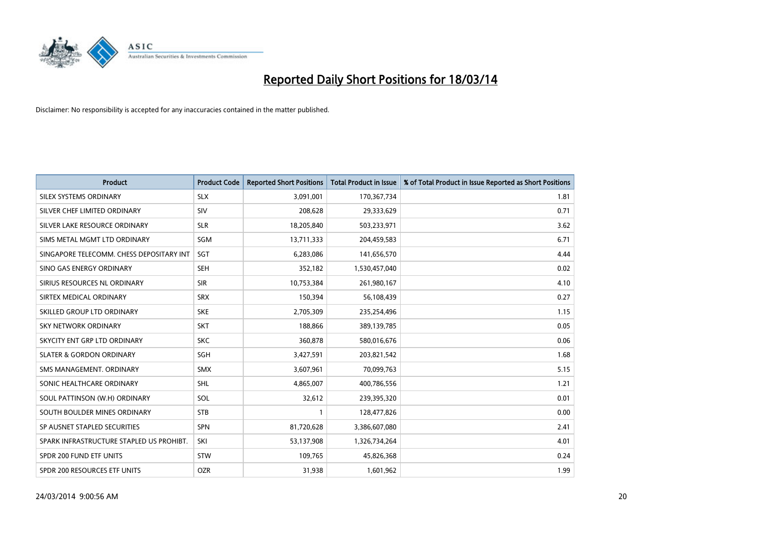

| <b>Product</b>                           | <b>Product Code</b> | <b>Reported Short Positions</b> | <b>Total Product in Issue</b> | % of Total Product in Issue Reported as Short Positions |
|------------------------------------------|---------------------|---------------------------------|-------------------------------|---------------------------------------------------------|
| SILEX SYSTEMS ORDINARY                   | <b>SLX</b>          | 3,091,001                       | 170,367,734                   | 1.81                                                    |
| SILVER CHEF LIMITED ORDINARY             | SIV                 | 208,628                         | 29,333,629                    | 0.71                                                    |
| SILVER LAKE RESOURCE ORDINARY            | <b>SLR</b>          | 18,205,840                      | 503,233,971                   | 3.62                                                    |
| SIMS METAL MGMT LTD ORDINARY             | <b>SGM</b>          | 13,711,333                      | 204,459,583                   | 6.71                                                    |
| SINGAPORE TELECOMM. CHESS DEPOSITARY INT | <b>SGT</b>          | 6,283,086                       | 141,656,570                   | 4.44                                                    |
| SINO GAS ENERGY ORDINARY                 | <b>SEH</b>          | 352,182                         | 1,530,457,040                 | 0.02                                                    |
| SIRIUS RESOURCES NL ORDINARY             | <b>SIR</b>          | 10,753,384                      | 261,980,167                   | 4.10                                                    |
| SIRTEX MEDICAL ORDINARY                  | <b>SRX</b>          | 150,394                         | 56,108,439                    | 0.27                                                    |
| SKILLED GROUP LTD ORDINARY               | <b>SKE</b>          | 2,705,309                       | 235,254,496                   | 1.15                                                    |
| <b>SKY NETWORK ORDINARY</b>              | <b>SKT</b>          | 188,866                         | 389,139,785                   | 0.05                                                    |
| SKYCITY ENT GRP LTD ORDINARY             | <b>SKC</b>          | 360,878                         | 580,016,676                   | 0.06                                                    |
| <b>SLATER &amp; GORDON ORDINARY</b>      | <b>SGH</b>          | 3,427,591                       | 203,821,542                   | 1.68                                                    |
| SMS MANAGEMENT. ORDINARY                 | <b>SMX</b>          | 3,607,961                       | 70,099,763                    | 5.15                                                    |
| SONIC HEALTHCARE ORDINARY                | <b>SHL</b>          | 4,865,007                       | 400,786,556                   | 1.21                                                    |
| SOUL PATTINSON (W.H) ORDINARY            | SOL                 | 32,612                          | 239,395,320                   | 0.01                                                    |
| SOUTH BOULDER MINES ORDINARY             | <b>STB</b>          |                                 | 128,477,826                   | 0.00                                                    |
| SP AUSNET STAPLED SECURITIES             | <b>SPN</b>          | 81,720,628                      | 3,386,607,080                 | 2.41                                                    |
| SPARK INFRASTRUCTURE STAPLED US PROHIBT. | SKI                 | 53,137,908                      | 1,326,734,264                 | 4.01                                                    |
| SPDR 200 FUND ETF UNITS                  | <b>STW</b>          | 109,765                         | 45,826,368                    | 0.24                                                    |
| SPDR 200 RESOURCES ETF UNITS             | <b>OZR</b>          | 31,938                          | 1,601,962                     | 1.99                                                    |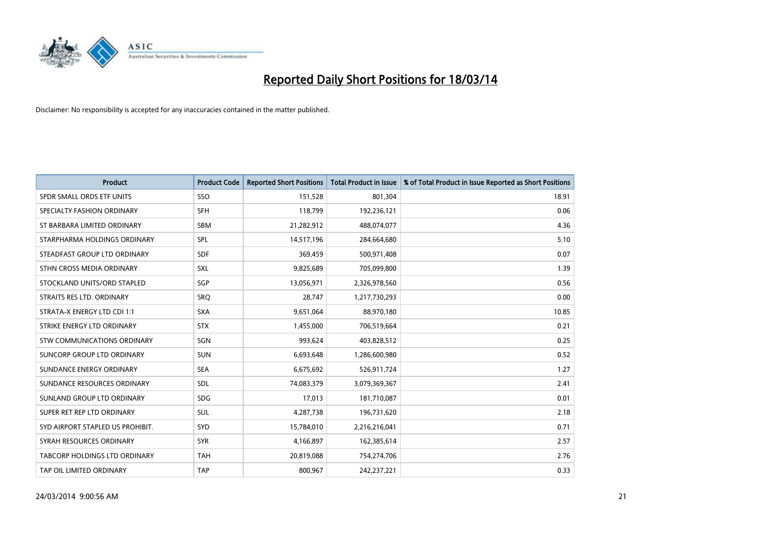

| <b>Product</b>                       | <b>Product Code</b> | <b>Reported Short Positions</b> | <b>Total Product in Issue</b> | % of Total Product in Issue Reported as Short Positions |
|--------------------------------------|---------------------|---------------------------------|-------------------------------|---------------------------------------------------------|
| SPDR SMALL ORDS ETF UNITS            | SSO                 | 151,528                         | 801,304                       | 18.91                                                   |
| SPECIALTY FASHION ORDINARY           | <b>SFH</b>          | 118,799                         | 192,236,121                   | 0.06                                                    |
| ST BARBARA LIMITED ORDINARY          | <b>SBM</b>          | 21,282,912                      | 488,074,077                   | 4.36                                                    |
| STARPHARMA HOLDINGS ORDINARY         | <b>SPL</b>          | 14,517,196                      | 284,664,680                   | 5.10                                                    |
| STEADFAST GROUP LTD ORDINARY         | <b>SDF</b>          | 369,459                         | 500,971,408                   | 0.07                                                    |
| STHN CROSS MEDIA ORDINARY            | <b>SXL</b>          | 9,825,689                       | 705,099,800                   | 1.39                                                    |
| STOCKLAND UNITS/ORD STAPLED          | <b>SGP</b>          | 13,056,971                      | 2,326,978,560                 | 0.56                                                    |
| STRAITS RES LTD. ORDINARY            | SRQ                 | 28,747                          | 1,217,730,293                 | 0.00                                                    |
| STRATA-X ENERGY LTD CDI 1:1          | <b>SXA</b>          | 9,651,064                       | 88,970,180                    | 10.85                                                   |
| STRIKE ENERGY LTD ORDINARY           | <b>STX</b>          | 1,455,000                       | 706,519,664                   | 0.21                                                    |
| STW COMMUNICATIONS ORDINARY          | SGN                 | 993.624                         | 403,828,512                   | 0.25                                                    |
| SUNCORP GROUP LTD ORDINARY           | <b>SUN</b>          | 6,693,648                       | 1,286,600,980                 | 0.52                                                    |
| SUNDANCE ENERGY ORDINARY             | <b>SEA</b>          | 6,675,692                       | 526,911,724                   | 1.27                                                    |
| SUNDANCE RESOURCES ORDINARY          | <b>SDL</b>          | 74,083,379                      | 3,079,369,367                 | 2.41                                                    |
| SUNLAND GROUP LTD ORDINARY           | <b>SDG</b>          | 17,013                          | 181,710,087                   | 0.01                                                    |
| SUPER RET REP LTD ORDINARY           | <b>SUL</b>          | 4,287,738                       | 196,731,620                   | 2.18                                                    |
| SYD AIRPORT STAPLED US PROHIBIT.     | <b>SYD</b>          | 15,784,010                      | 2,216,216,041                 | 0.71                                                    |
| SYRAH RESOURCES ORDINARY             | <b>SYR</b>          | 4,166,897                       | 162,385,614                   | 2.57                                                    |
| <b>TABCORP HOLDINGS LTD ORDINARY</b> | <b>TAH</b>          | 20,819,088                      | 754,274,706                   | 2.76                                                    |
| TAP OIL LIMITED ORDINARY             | <b>TAP</b>          | 800.967                         | 242.237.221                   | 0.33                                                    |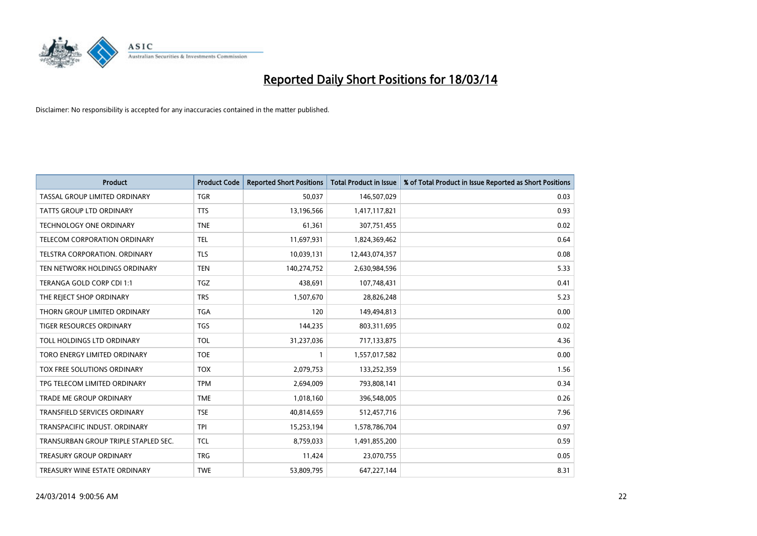

| <b>Product</b>                       | <b>Product Code</b> | <b>Reported Short Positions</b> | <b>Total Product in Issue</b> | % of Total Product in Issue Reported as Short Positions |
|--------------------------------------|---------------------|---------------------------------|-------------------------------|---------------------------------------------------------|
| TASSAL GROUP LIMITED ORDINARY        | <b>TGR</b>          | 50,037                          | 146,507,029                   | 0.03                                                    |
| TATTS GROUP LTD ORDINARY             | <b>TTS</b>          | 13,196,566                      | 1,417,117,821                 | 0.93                                                    |
| <b>TECHNOLOGY ONE ORDINARY</b>       | <b>TNE</b>          | 61,361                          | 307,751,455                   | 0.02                                                    |
| TELECOM CORPORATION ORDINARY         | <b>TEL</b>          | 11,697,931                      | 1,824,369,462                 | 0.64                                                    |
| <b>TELSTRA CORPORATION, ORDINARY</b> | <b>TLS</b>          | 10,039,131                      | 12,443,074,357                | 0.08                                                    |
| TEN NETWORK HOLDINGS ORDINARY        | <b>TEN</b>          | 140,274,752                     | 2,630,984,596                 | 5.33                                                    |
| TERANGA GOLD CORP CDI 1:1            | <b>TGZ</b>          | 438,691                         | 107,748,431                   | 0.41                                                    |
| THE REJECT SHOP ORDINARY             | <b>TRS</b>          | 1,507,670                       | 28,826,248                    | 5.23                                                    |
| THORN GROUP LIMITED ORDINARY         | <b>TGA</b>          | 120                             | 149,494,813                   | 0.00                                                    |
| <b>TIGER RESOURCES ORDINARY</b>      | <b>TGS</b>          | 144,235                         | 803,311,695                   | 0.02                                                    |
| TOLL HOLDINGS LTD ORDINARY           | <b>TOL</b>          | 31,237,036                      | 717,133,875                   | 4.36                                                    |
| TORO ENERGY LIMITED ORDINARY         | <b>TOE</b>          |                                 | 1,557,017,582                 | 0.00                                                    |
| TOX FREE SOLUTIONS ORDINARY          | <b>TOX</b>          | 2,079,753                       | 133,252,359                   | 1.56                                                    |
| TPG TELECOM LIMITED ORDINARY         | <b>TPM</b>          | 2,694,009                       | 793,808,141                   | 0.34                                                    |
| TRADE ME GROUP ORDINARY              | <b>TME</b>          | 1,018,160                       | 396,548,005                   | 0.26                                                    |
| <b>TRANSFIELD SERVICES ORDINARY</b>  | <b>TSE</b>          | 40,814,659                      | 512,457,716                   | 7.96                                                    |
| TRANSPACIFIC INDUST, ORDINARY        | <b>TPI</b>          | 15,253,194                      | 1,578,786,704                 | 0.97                                                    |
| TRANSURBAN GROUP TRIPLE STAPLED SEC. | <b>TCL</b>          | 8,759,033                       | 1,491,855,200                 | 0.59                                                    |
| <b>TREASURY GROUP ORDINARY</b>       | <b>TRG</b>          | 11,424                          | 23,070,755                    | 0.05                                                    |
| TREASURY WINE ESTATE ORDINARY        | <b>TWE</b>          | 53,809,795                      | 647, 227, 144                 | 8.31                                                    |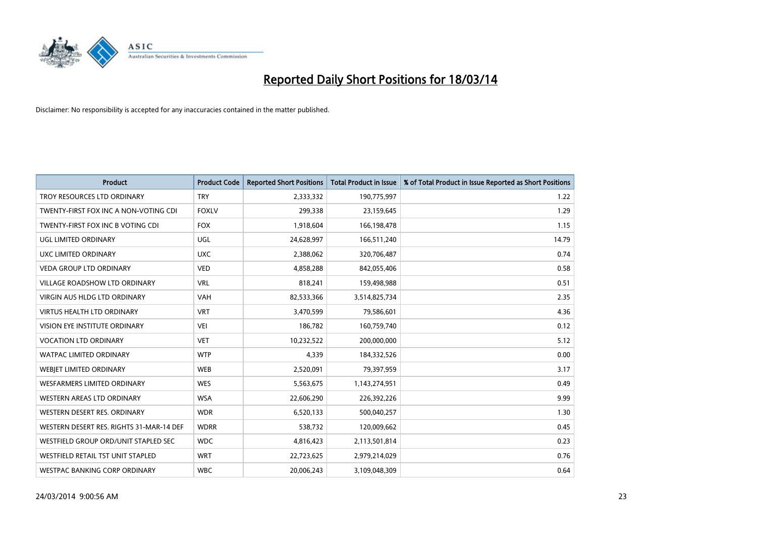

| <b>Product</b>                           | <b>Product Code</b> | <b>Reported Short Positions</b> | <b>Total Product in Issue</b> | % of Total Product in Issue Reported as Short Positions |
|------------------------------------------|---------------------|---------------------------------|-------------------------------|---------------------------------------------------------|
| TROY RESOURCES LTD ORDINARY              | <b>TRY</b>          | 2,333,332                       | 190,775,997                   | 1.22                                                    |
| TWENTY-FIRST FOX INC A NON-VOTING CDI    | <b>FOXLV</b>        | 299,338                         | 23,159,645                    | 1.29                                                    |
| TWENTY-FIRST FOX INC B VOTING CDI        | <b>FOX</b>          | 1,918,604                       | 166,198,478                   | 1.15                                                    |
| UGL LIMITED ORDINARY                     | UGL                 | 24,628,997                      | 166,511,240                   | 14.79                                                   |
| UXC LIMITED ORDINARY                     | <b>UXC</b>          | 2,388,062                       | 320,706,487                   | 0.74                                                    |
| <b>VEDA GROUP LTD ORDINARY</b>           | <b>VED</b>          | 4,858,288                       | 842,055,406                   | 0.58                                                    |
| <b>VILLAGE ROADSHOW LTD ORDINARY</b>     | <b>VRL</b>          | 818,241                         | 159,498,988                   | 0.51                                                    |
| <b>VIRGIN AUS HLDG LTD ORDINARY</b>      | <b>VAH</b>          | 82,533,366                      | 3,514,825,734                 | 2.35                                                    |
| <b>VIRTUS HEALTH LTD ORDINARY</b>        | <b>VRT</b>          | 3,470,599                       | 79,586,601                    | 4.36                                                    |
| VISION EYE INSTITUTE ORDINARY            | <b>VEI</b>          | 186,782                         | 160,759,740                   | 0.12                                                    |
| <b>VOCATION LTD ORDINARY</b>             | <b>VET</b>          | 10,232,522                      | 200,000,000                   | 5.12                                                    |
| <b>WATPAC LIMITED ORDINARY</b>           | <b>WTP</b>          | 4,339                           | 184,332,526                   | 0.00                                                    |
| WEBIET LIMITED ORDINARY                  | <b>WEB</b>          | 2,520,091                       | 79,397,959                    | 3.17                                                    |
| <b>WESFARMERS LIMITED ORDINARY</b>       | <b>WES</b>          | 5,563,675                       | 1,143,274,951                 | 0.49                                                    |
| <b>WESTERN AREAS LTD ORDINARY</b>        | <b>WSA</b>          | 22,606,290                      | 226,392,226                   | 9.99                                                    |
| WESTERN DESERT RES. ORDINARY             | <b>WDR</b>          | 6,520,133                       | 500,040,257                   | 1.30                                                    |
| WESTERN DESERT RES. RIGHTS 31-MAR-14 DEF | <b>WDRR</b>         | 538,732                         | 120,009,662                   | 0.45                                                    |
| WESTFIELD GROUP ORD/UNIT STAPLED SEC     | <b>WDC</b>          | 4,816,423                       | 2,113,501,814                 | 0.23                                                    |
| WESTFIELD RETAIL TST UNIT STAPLED        | <b>WRT</b>          | 22,723,625                      | 2,979,214,029                 | 0.76                                                    |
| WESTPAC BANKING CORP ORDINARY            | <b>WBC</b>          | 20,006,243                      | 3,109,048,309                 | 0.64                                                    |